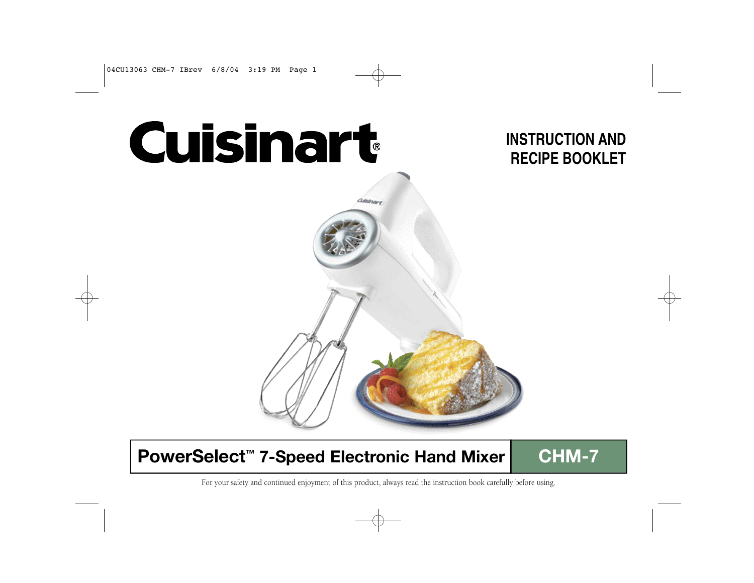Cuisinart

# **INSTRUCTION AND RECIPE BOOKLET**

# **PowerSelect<sup>™</sup> 7-Speed Electronic Hand Mixer | CHM-7**

For your safety and continued enjoyment of this product, always read the instruction book carefully before using.

**Cuistnare**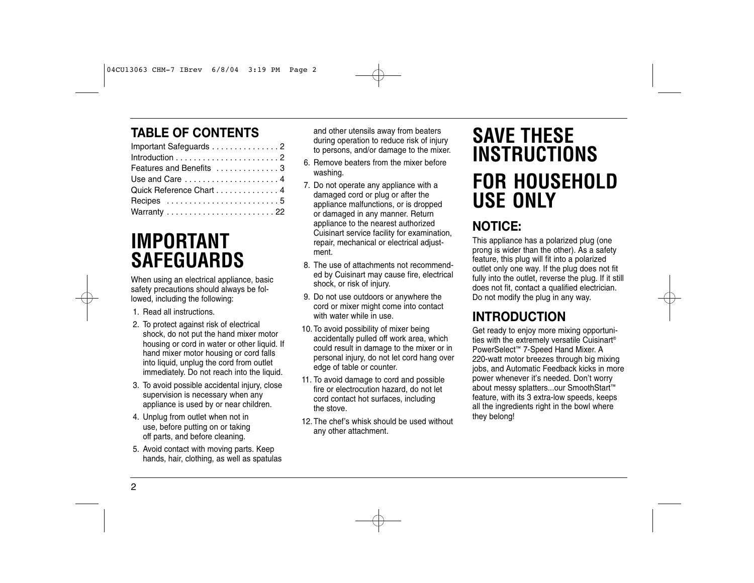## **TABLE OF CONTENTS**

| Important Safeguards 2                                                            |
|-----------------------------------------------------------------------------------|
|                                                                                   |
| Features and Benefits 3                                                           |
| Use and Care 4                                                                    |
| Quick Reference Chart 4                                                           |
| Recipes 5                                                                         |
| Warranty $\,\ldots\, \ldots\, \ldots\, \ldots\, \ldots\, \ldots\, \ldots\, \, 22$ |

# **IMPORTANT SAFEGUARDS**

When using an electrical appliance, basic safety precautions should always be followed, including the following:

- 1. Read all instructions.
- 2. To protect against risk of electrical shock, do not put the hand mixer motor housing or cord in water or other liquid. If hand mixer motor housing or cord falls into liquid, unplug the cord from outlet immediately. Do not reach into the liquid.
- 3. To avoid possible accidental injury, close supervision is necessary when any appliance is used by or near children.
- 4. Unplug from outlet when not in use, before putting on or taking off parts, and before cleaning.
- 5. Avoid contact with moving parts. Keep hands, hair, clothing, as well as spatulas

and other utensils away from beaters during operation to reduce risk of injury to persons, and/or damage to the mixer.

- 6. Remove beaters from the mixer before washing.
- 7. Do not operate any appliance with a damaged cord or plug or after the appliance malfunctions, or is dropped or damaged in any manner. Return appliance to the nearest authorized Cuisinart service facility for examination, repair, mechanical or electrical adjustment.
- 8. The use of attachments not recommended by Cuisinart may cause fire, electrical shock, or risk of injury.
- 9. Do not use outdoors or anywhere the cord or mixer might come into contact with water while in use.
- 10.To avoid possibility of mixer being accidentally pulled off work area, which could result in damage to the mixer or in personal injury, do not let cord hang over edge of table or counter.
- 11. To avoid damage to cord and possible fire or electrocution hazard, do not let cord contact hot surfaces, including the stove.
- 12.The chef's whisk should be used without any other attachment.

# **SAVE THESE INSTRUCTIONS FOR HOUSEHOLD USE ONLY**

## **NOTICE:**

This appliance has a polarized plug (one prong is wider than the other). As a safety feature, this plug will fit into a polarized outlet only one way. If the plug does not fit fully into the outlet, reverse the plug. If it still does not fit, contact a qualified electrician. Do not modify the plug in any way.

## **INTRODUCTION**

Get ready to enjoy more mixing opportunities with the extremely versatile Cuisinart® PowerSelect™ 7-Speed Hand Mixer. A 220-watt motor breezes through big mixing jobs, and Automatic Feedback kicks in more power whenever it's needed. Don't worry about messy splatters...our SmoothStart™ feature, with its 3 extra-low speeds, keeps all the ingredients right in the bowl where they belong!

2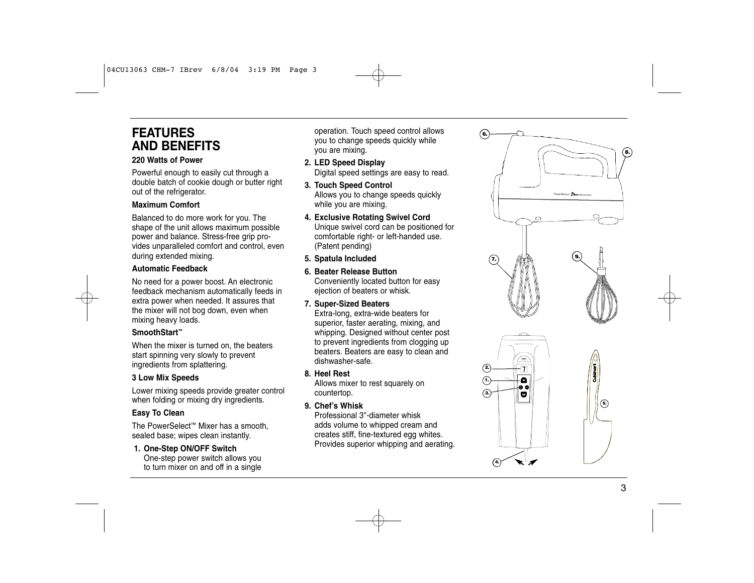## **FEATURES AND BENEFITS**

#### **220 Watts of Power**

Powerful enough to easily cut through a double batch of cookie dough or butter right out of the refrigerator .

#### **Maximum Comfort**

Balanced to do more work for you. The shape of the unit allows maximum possible power and balance. Stress-free grip pro vides unparalleled comfort and control, even during extended mixing.

### **Automatic Feedback**

No need for a power boost. An electronic feedback mechanism automatically feeds in extra power when needed. It assures that the mixer will not bog down, even when mixing heavy loads.

#### **SmoothStart ™**

When the mixer is turned on, the beaters start spinning very slowly to prevent ingredients from splattering.

#### **3 Low Mix Speeds**

Lower mixing speeds provide greater control when folding or mixing dry ingredients.

#### **Easy To Clean**

The PowerSelect ™ Mixer has a smooth, sealed base; wipes clean instantly .

#### **1. One-Step ON/OFF Switch**

One-step power switch allows you to turn mixer on and off in a single

operation. Touch speed control allows you to change speeds quickly while you are mixing.

- **2. LED Speed Display** Digital speed settings are easy to read.
- **3. Touch Speed Control** Allows you to change speeds quickly while you are mixing.
- **4. Exclusive Rotating Swivel Cord** Unique swivel cord can be positioned for comfortable right- or left-handed use. (Patent pending)
- **5. Spatula Included**
- **6. Beater Release Button** Conveniently located button for easy ejection of beaters or whisk.
- **7. Super-Sized Beaters**

Extra-long, extra-wide beaters for superior, faster aerating, mixing, and whipping. Designed without center post to prevent ingredients from clogging up beaters. Beaters are easy to clean and dishwasher-safe.

#### **8. Heel Rest**

Allows mixer to rest squarely on countertop.

#### **9. Chef 's Whisk**

Professional 3''-diameter whisk adds volume to whipped cream and creates stiff, fine-textured egg whites. Provides superior whipping and aerating.

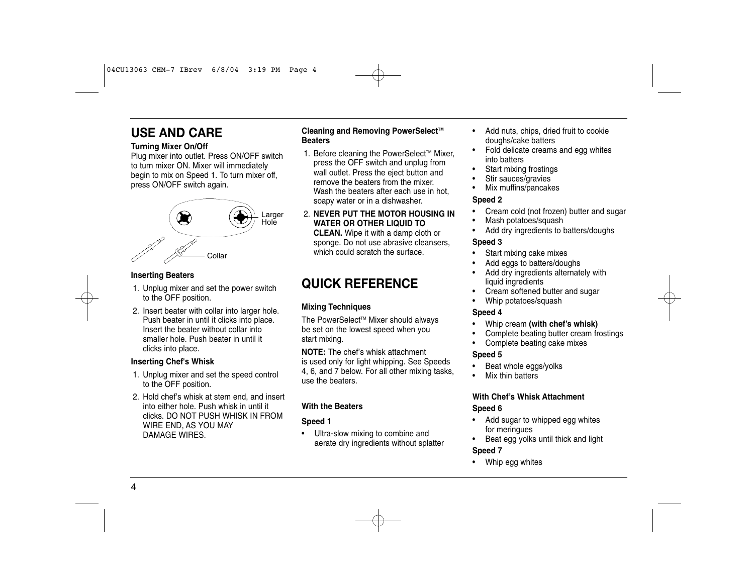## **USE AND CARE**

#### **Turning Mixer On/Off**

Plug mixer into outlet. Press ON/OFF switch to turn mixer ON. Mixer will immediately begin to mix on Speed 1. To turn mixer off, press ON/OFF switch again.



#### **Inserting Beaters**

- 1. Unplug mixer and set the power switch to the OFF position.
- 2. Insert beater with collar into larger hole. Push beater in until it clicks into place. Insert the beater without collar into smaller hole. Push beater in until it clicks into place.

#### **Inserting Chef's Whisk**

- 1. Unplug mixer and set the speed control to the OFF position.
- 2. Hold chef's whisk at stem end, and insert into either hole. Push whisk in until it clicks. DO NOT PUSH WHISK IN FROM WIRE END, AS YOU MAY DAMAGE WIRES.

#### **Cleaning and Removing PowerSelect<sup>™</sup> Beaters**

- 1. Before cleaning the PowerSelect™ Mixer, press the OFF switch and unplug from wall outlet. Press the eject button and remove the beaters from the mixer. Wash the beaters after each use in hot. soapy water or in a dishwasher.
- 2. **NEVER PUT THE MOTOR HOUSING IN WATER OR OTHER LIQUID TO CLEAN.** Wipe it with a damp cloth or sponge. Do not use abrasive cleansers, which could scratch the surface.

## **QUICK REFERENCE**

#### **Mixing Techniques**

The PowerSelect™ Mixer should always be set on the lowest speed when you start mixing.

**NOTE:** The chef's whisk attachment is used only for light whipping. See Speeds 4, 6, and 7 below. For all other mixing tasks, use the beaters.

#### **With the Beaters**

#### **Speed 1**

• Ultra-slow mixing to combine and aerate dry ingredients without splatter

- Add nuts, chips, dried fruit to cookie doughs/cake batters
- Fold delicate creams and egg whites into batters
- Start mixing frostings
- Stir sauces/gravies
- Mix muffins/pancakes

#### **Speed 2**

- Cream cold (not frozen) butter and sugar
- Mash potatoes/squash
- Add dry ingredients to batters/doughs

#### **Speed 3**

- Start mixing cake mixes
- Add eggs to batters/doughs
- Add dry ingredients alternately with liquid ingredients
- Cream softened butter and sugar
- Whip potatoes/squash

#### **Speed 4**

- Whip cream **(with chef's whisk)**
- Complete beating butter cream frostings
- Complete beating cake mixes

#### **Speed 5**

- Beat whole eggs/yolks
- Mix thin batters

#### **With Chef's Whisk Attachment Speed 6**

- Add sugar to whipped egg whites for meringues
- Beat egg yolks until thick and light

## **Speed 7**

• Whip egg whites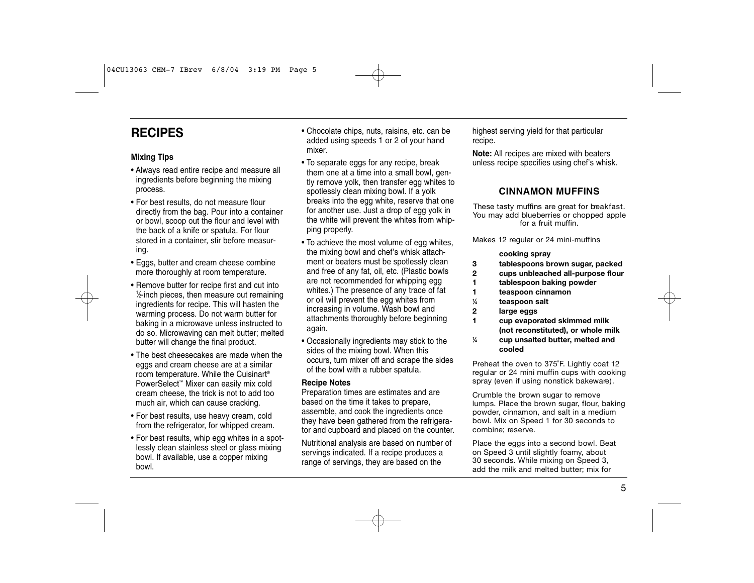## **RECIPES**

#### **Mixing Tips**

- Always read entire recipe and measure all ingredients before beginning the mixing process.
- For best results, do not measure flour directly from the bag. Pour into a container or bowl, scoop out the flour and level with the back of a knife or spatula. For flour stored in a container, stir before measuring.
- Eggs, butter and cream cheese combine more thoroughly at room temperature.
- Remove butter for recipe first and cut into 1 ⁄2-inch pieces, then measure out remaining ingredients for recipe. This will hasten the warming process. Do not warm butter for baking in a microwave unless instructed to do so. Microwaving can melt butter; melted butter will change the final product.
- The best cheesecakes are made when the eggs and cream cheese are at a similar room temperature. While the Cuisinart® PowerSelect™ Mixer can easily mix cold cream cheese, the trick is not to add too much air, which can cause cracking.
- For best results, use heavy cream, cold from the refrigerator, for whipped cream.
- For best results, whip egg whites in a spotlessly clean stainless steel or glass mixing bowl. If available, use a copper mixing bowl.
- Chocolate chips, nuts, raisins, etc. can be added using speeds 1 or 2 of your hand mixer.
- To separate eggs for any recipe, break them one at a time into a small bowl, gently remove yolk, then transfer egg whites to spotlessly clean mixing bowl. If a yolk breaks into the egg white, reserve that one for another use. Just a drop of egg yolk in the white will prevent the whites from whipping properly.
- To achieve the most volume of egg whites, the mixing bowl and chef's whisk attachment or beaters must be spotlessly clean and free of any fat, oil, etc. (Plastic bowls are not recommended for whipping egg whites.) The presence of any trace of fat or oil will prevent the egg whites from increasing in volume. Wash bowl and attachments thoroughly before beginning again.
- Occasionally ingredients may stick to the sides of the mixing bowl. When this occurs, turn mixer off and scrape the sides of the bowl with a rubber spatula.

#### **Recipe Notes**

Preparation times are estimates and are based on the time it takes to prepare, assemble, and cook the ingredients once they have been gathered from the refrigerator and cupboard and placed on the counter.

Nutritional analysis are based on number of servings indicated. If a recipe produces a range of servings, they are based on the

highest serving yield for that particular recipe.

**Note:** All recipes are mixed with beaters unless recipe specifies using chef's whisk.

#### **CINNAMON MUFFINS**

These tasty muffins are great for breakfast. You may add blueberries or chopped apple for a fruit muffin.

Makes 12 regular or 24 mini-muffins

#### **cooking spray**

- **3 tablespoons brown sugar, packed**
- **2 cups unbleached all-purpose flour**
- **1 tablespoon baking powder**
- **1 teaspoon cinnamon**
- **1 ⁄4 teaspoon salt**
- **2 large eggs**
- **1 cup evaporated skimmed milk (not reconstituted), or whole milk 1 ⁄4 cup unsalted butter, melted and cooled**

Preheat the oven to 375°F. Lightly coat 12 regular or 24 mini muffin cups with cooking spray (even if using nonstick bakeware).

Crumble the brown sugar to remove lumps. Place the brown sugar, flour, baking powder, cinnamon, and salt in a medium bowl. Mix on Speed 1 for 30 seconds to combine: reserve.

Place the eggs into a second bowl. Beat on Speed 3 until slightly foamy, about 30 seconds. While mixing on Speed 3, add the milk and melted butter; mix for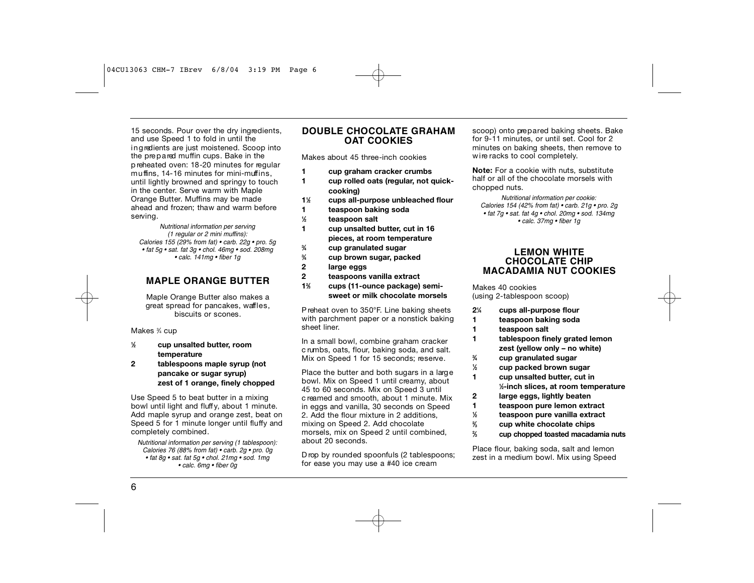15 seconds. Pour over the dry ingredients, and use Speed 1 to fold in until the in gredients are just moistened. Scoop into the prepared muffin cups. Bake in the p reheated oven: 18-20 minutes for regular muffins, 14-16 minutes for mini-muffins. until lightly browned and springy to touch in the center. Serve warm with Maple Orange Butter. Muffins may be made ahead and frozen; thaw and warm before serving.

*Nutritional information per serving (1 regular or 2 mini muffins): Calories 155 (29% from fat) • carb. 22g • pro. 5g • fat 5g • sat. fat 3g • chol. 46mg • sod. 208mg • calc. 141mg • fiber 1g*

#### **MAPLE ORANGE BUTTER**

Maple Orange Butter also makes a great spread for pancakes, waffles, biscuits or scones.

Makes ¾ cup

- **1 ⁄2 cup unsalted butter, room temperature**
- **2 tablespoons maple syrup (not pancake or sugar syrup) zest of 1 orange, finely chopped**

Use Speed 5 to beat butter in a mixing bowl until light and fluff y, about 1 minute. Add maple syrup and orange zest, beat on Speed 5 for 1 minute longer until fluffy and completely combined.

*Nutritional information per serving (1 tablespoon): Calories 76 (88% from fat) • carb. 2g • pro. 0g • fat 8g • sat. fat 5g • chol. 21mg • sod. 1mg • calc. 6mg • fiber 0g*

#### **DOUBLE CHOCOLATE GRAHAM O AT COOKIES**

Makes about 45 three-inch cookies

- **1 cup graham cracker crumbs**
- **1 cup rolled oats (regular, not quickcooking)**
- **11 ⁄2 cups all-purpose unbleached flour**
- **1 teaspoon baking soda**
- **1 ⁄2 teaspoon salt**
- **1 cup unsalted butter, cut in 16 pieces, at room temperature**
- **3 ⁄4 cup granulated sugar**
- **3 ⁄4 cup brown sugar, packed**
- **2 large eggs**
- **2 teaspoons vanilla extract**
- **12 ⁄3 cups (11-ounce package) semisweet or milk chocolate morsels**

P reheat oven to 350°F. Line baking sheets with parchment paper or a nonstick baking sheet liner.

In a small bowl, combine graham cracker c rumbs, oats, flour, baking soda, and salt. Mix on Speed 1 for 15 seconds; reserve.

Place the butter and both sugars in a large bowl. Mix on Speed 1 until creamy, about 45 to 60 seconds. Mix on Speed 3 until c reamed and smooth, about 1 minute. Mix in eggs and vanilla, 30 seconds on Speed 2. Add the flour mixture in 2 additions, mixing on Speed 2. Add chocolate morsels, mix on Speed 2 until combined, about 20 seconds.

D rop by rounded spoonfuls (2 tablespoons; for ease you may use a #40 ice cream

scoop) onto prepared baking sheets. Bake for 9-11 minutes, or until set. Cool for 2 minutes on baking sheets, then remove to wire racks to cool completely.

**Note:** For a cookie with nuts, substitute half or all of the chocolate morsels with chopped nuts.

*Nutritional information per cookie: Calories 154 (42% from fat) • carb. 21g • pro. 2g • fat 7g • sat. fat 4g • chol. 20mg • sod. 134mg • calc. 37mg • fiber 1g*

#### **LEMON WHITE C H O C O L ATE CHIP MACADAMIA NUT COOKIES**

Makes 40 cookies (using 2-tablespoon scoop)

- **21 ⁄4 cups all-purpose flour**
- **1 teaspoon baking soda**
- **1 teaspoon salt**

**1**

**2**

- **1 tablespoon finely grated lemon zest (yellow only – no white)**
- **3 ⁄4 cup granulated sugar**
	- **⁄2 cup packed brown sugar**
- **<sup>1</sup> cup unsalted butter, cut in 1**
- **⁄2-inch slices, at room temperature 2 large eggs, lightly beaten**
- 
- **1 teaspoon pure lemon extract**<br> **1 teaspoon pure vanilla extract**
- **⁄2 teaspoon pure vanilla extract 2**
	- **⁄3 cup white chocolate chips**
	- **⁄3 cup chopped toasted macadamia nuts**

Place flour, baking soda, salt and lemon zest in a medium bowl. Mix using Speed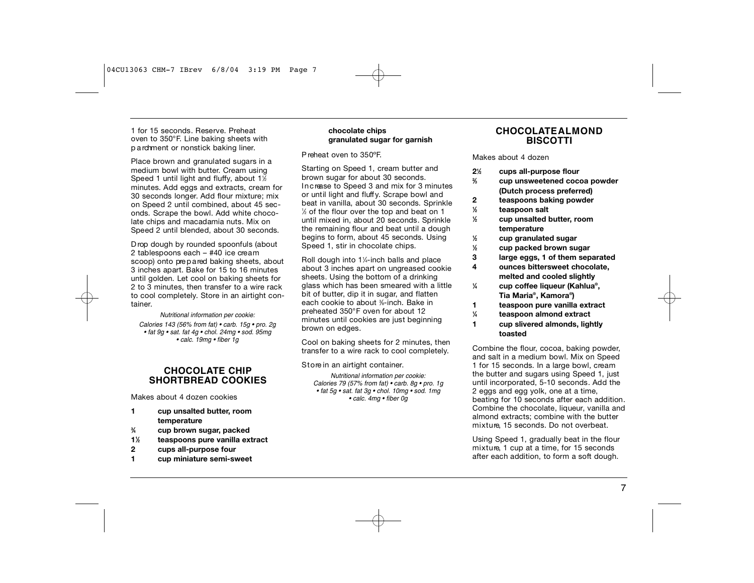1 for 15 seconds. Reserve. Preheat oven to 350°F. Line baking sheets with p a rd ment or nonstick baking liner.

Place brown and granulated sugars in a medium bowl with butter. Cream using Speed 1 until light and fluffy, about 1½ minutes. Add eggs and extracts, cream for 30 seconds longer. Add flour mixture; mix on Speed 2 until combined, about 45 seconds. Scrape the bowl. Add white chocolate chips and macadamia nuts. Mix on Speed 2 until blended, about 30 seconds.

D rop dough by rounded spoonfuls (about 2 tablespoons each - #40 ice cream scoop) onto prepared baking sheets, about 3 inches apart. Bake for 15 to 16 minutes until golden. Let cool on baking sheets for 2 to 3 minutes, then transfer to a wire rack to cool completely. Store in an airtight container.

*Nutritional information per cookie: Calories 143 (56% from fat) • carb. 15g • pro. 2g • fat 9g • sat. fat 4g • chol. 24mg • sod. 95mg • calc. 19mg • fiber 1g*

### **C H O C O L ATE CHIP SHORTBREAD COOKIES**

Makes about 4 dozen cookies

- **1 cup unsalted butter, room temperature**
- **3 ⁄4 cup brown sugar, packed**
- **11 ⁄2 teaspoons pure vanilla extract**
- **2 cups all-purpose four**
- **1 cup miniature semi-sweet**

#### **chocolate chips granulated sugar for garnish**

P reheat oven to 350ºF.

Starting on Speed 1, cream butter and brown sugar for about 30 seconds. In c rease to Speed 3 and mix for 3 minutes or until light and fluff y. Scrape bowl and beat in vanilla, about 30 seconds. Sprinkle 1 ⁄2 of the flour over the top and beat on 1 until mixed in, about 20 seconds. Sprinkle the remaining flour and beat until a dough begins to form, about 45 seconds. Using Speed 1, stir in chocolate chips.

Roll dough into 11 ⁄4-inch balls and place about 3 inches apart on ungreased cookie sheets. Using the bottom of a drinking glass which has been smeared with a little bit of butter, dip it in sugar, and flatten each cookie to about %-inch. Bake in p reheated 350°F oven for about 12 minutes until cookies are just beginning brown on edges.

Cool on baking sheets for 2 minutes, then transfer to a wire rack to cool completely.

Store in an airtight container.

*Nutritional information per cookie: Calories 79 (57% from fat) • carb. 8g • pro. 1g • fat 5g • sat. fat 3g • chol. 10mg • sod. 1mg • calc. 4mg • fiber 0g*

#### **CHOCOLATE ALMOND BISCOTTI**

#### Makes about 4 dozen

- **21 ⁄2 cups all-purpose flour**
- **2 ⁄3 cup unsweetened cocoa powder (Dutch process preferred)**
- **2 teaspoons baking powder**
- **1 ⁄2 teaspoon salt**

**1**

- **1 ⁄2 cup unsalted butter, room temperature**
	- **⁄2 cup granulated sugar**
- **1 ⁄2 cup packed brown sugar**
- **3 large eggs, 1 of them separated**
- **4 ounces bittersweet chocolate, melted and cooled slightly**
- **1 ⁄4 cup coffee liqueur (Kahlua®, Tia Maria®, Kamora®)**
- **1 teaspoon pure vanilla extract**
- **1 ⁄4 teaspoon almond extract**
- **1 cup slivered almonds, lightly toasted**

Combine the flour, cocoa, baking powder, and salt in a medium bowl. Mix on Speed 1 for 15 seconds. In a large bowl, cream the butter and sugars using Speed 1, just until incorporated, 5-10 seconds. Add the 2 eggs and egg yolk, one at a time, beating for 10 seconds after each addition. Combine the chocolate, liqueur, vanilla and almond extracts; combine with the butter mixture, 15 seconds. Do not overbeat.

Using Speed 1, gradually beat in the flour mixture, 1 cup at a time, for 15 seconds after each addition, to form a soft dough.

7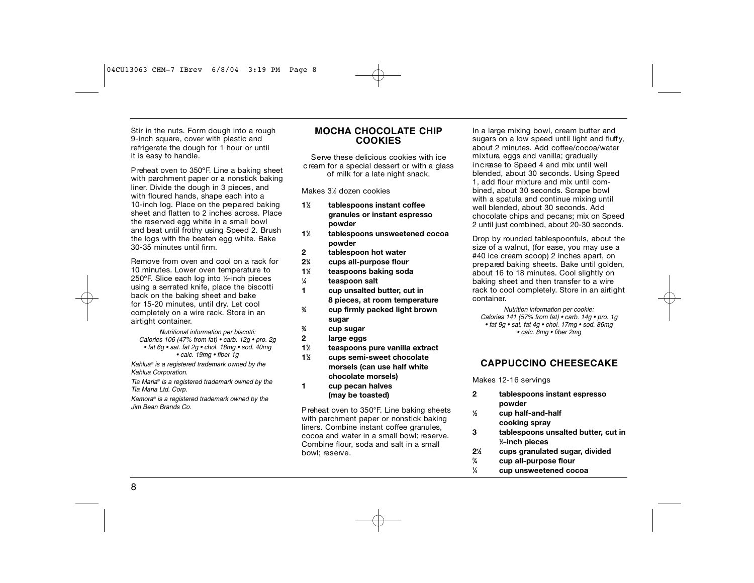Stir in the nuts. Form dough into a rough 9-inch square, cover with plastic and refrigerate the dough for 1 hour or until it is easy to handle.

P reheat oven to 350ºF. Line a baking sheet with parchment paper or a nonstick baking liner. Divide the dough in 3 pieces, and with floured hands, shape each into a 10-inch log. Place on the prepared baking sheet and flatten to 2 inches across. Place the reserved egg white in a small bowl and beat until frothy using Speed 2. Brush the logs with the beaten egg white. Bake 30-35 minutes until firm .

Remove from oven and cool on a rack for 10 minutes. Lower oven temperature to 250°F. Slice each log into ½-inch pieces using a serrated knife, place the biscotti back on the baking sheet and bake for 15-20 minutes, until dry. Let cool completely on a wire rack. Store in an airtight container.

*Nutritional information per biscotti: Calories 106 (47% from fat) • carb. 12g • pro. 2g • fat 6g • sat. fat 2g • chol. 18mg • sod. 40mg • calc. 19mg • fiber 1g*

*Kahlua® is a registered trademark owned by the Kahlua Corporation.*

*Tia Maria® is a registered trademark owned by the Tia Maria Ltd. Corp.*

*Kamora® is a registered trademark owned by the Jim Bean Brands Co.*

#### **M O C H A C H O C O L ATE CHIP C O O K I E S**

Serve these delicious cookies with ice c ream for a special dessert or with a glass of milk for a late night snack.

Makes 31 ⁄2 dozen cookies

- **11 ⁄2 tablespoons instant coffee granules or instant espresso powder**
- **11 ⁄2 tablespoons unsweetened cocoa powder**
- **2 tablespoon hot water**
- **21 ⁄4 cups all-purpose flour**
- **11 ⁄4 teaspoons baking soda**
- **1 ⁄4 teaspoon salt**
- **1 cup unsalted butter, cut in 8 pieces, at room temperature**
- **3 ⁄4 cup firmly packed light brown sugar**
- **3 ⁄4 cup sugar**
- **2 large eggs**
- **11 ⁄2 teaspoons pure vanilla extract**
- **11 ⁄2 cups semi-sweet chocolate morsels (can use half white chocolate morsels) 1 cup pecan halves** 
	- **(may be toasted)**

P reheat oven to 350°F. Line baking sheets with parchment paper or nonstick baking liners. Combine instant coffee granules, cocoa and water in a small bowl; reserve. Combine flour, soda and salt in a small bowl; reserve.

In a large mixing bowl, cream butter and sugars on a low speed until light and fluffy, about 2 minutes. Add coffee/cocoa/water mixture, eggs and vanilla; gradually in crease to Speed 4 and mix until well blended, about 30 seconds. Using Speed 1, add flour mixture and mix until combined, about 30 seconds. Scrape bowl with a spatula and continue mixing until well blended, about 30 seconds. Add chocolate chips and pecans; mix on Speed 2 until just combined, about 20-30 seconds.

Drop by rounded tablespoonfuls, about the size of a walnut, (for ease, you may use a #40 ice cream scoop) 2 inches apart, on prepared baking sheets. Bake until golden, about 16 to 18 minutes. Cool slightly on baking sheet and then transfer to a wire rack to cool completely. Store in an airtight container.

*Nutrition information per cookie: Calories 141 (57% from fat) • carb. 14g • pro. 1g • fat 9g • sat. fat 4g • chol. 17mg • sod. 86mg • calc. 8mg • fiber 2mg*

#### **CAPPUCCINO CHEESECAKE**

Makes 12-16 servings

- **2 tablespoons instant espresso powder**
- **1 ⁄2 cup half-and-half cooking spray**
- **3 tablespoons unsalted butter, cut in 1 ⁄2-inch pieces**
- **21 ⁄2 cups granulated sugar, divided**
- **3 ⁄4 cup all-purpose flour**
- **1 ⁄4 cup unsweetened cocoa**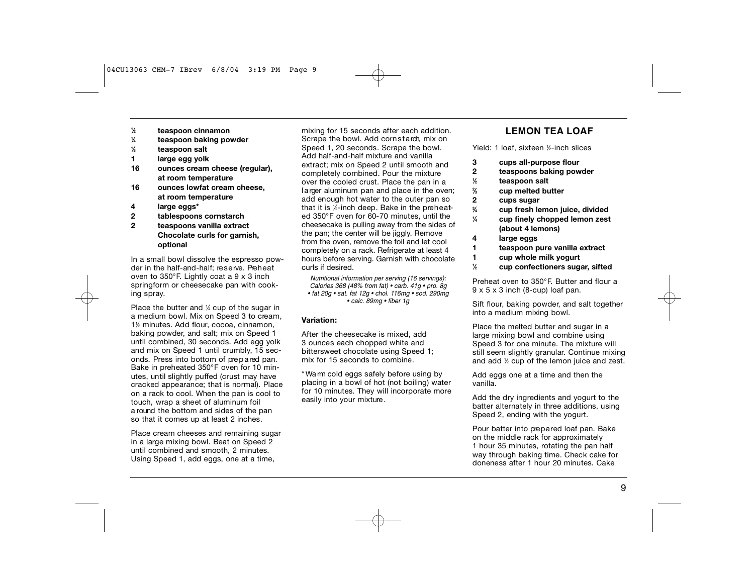- **1 ⁄2 teaspoon cinnamon**
- **1 ⁄4 teaspoon baking powder**
- **1 ⁄8 teaspoon salt**
- **1 large egg yolk**
- **16 ounces cream cheese (regular), at room temperature**
- **16 ounces lowfat cream cheese, at room temperature**
- **4 large eggs\***
- **2 tablespoons cornstarch**
- **2 teaspoons vanilla extract Chocolate curls for garnish, optional**

In a small bowl dissolve the espresso powder in the half-and-half; reserve. Preheat oven to 350°F. Lightly coat a 9 x 3 inch springform or cheesecake pan with cooking spray.

Place the butter and 1/4 cup of the sugar in a medium bowl. Mix on Speed 3 to cream, 11 ⁄2 minutes. Add flour, cocoa, cinnamon, baking powder, and salt; mix on Speed 1 until combined, 30 seconds. Add egg yolk and mix on Speed 1 until crumbly, 15 seconds. Press into bottom of pre p a red pan. Bake in preheated 350°F oven for 10 minutes, until slightly puffed (crust may have cracked appearance; that is normal). Place on a rack to cool. When the pan is cool to touch, wrap a sheet of aluminum foil a round the bottom and sides of the pan so that it comes up at least 2 inches.

Place cream cheeses and remaining sugar in a large mixing bowl. Beat on Speed 2 until combined and smooth, 2 minutes. Using Speed 1, add eggs, one at a time,

mixing for 15 seconds after each addition. Scrape the bowl. Add cornstarch, mix on Speed 1, 20 seconds. Scrape the bowl. Add half-and-half mixture and vanilla extract; mix on Speed 2 until smooth and completely combined. Pour the mixture over the cooled crust. Place the pan in a larger aluminum pan and place in the oven; add enough hot water to the outer pan so that it is ½-inch deep. Bake in the preheated 350°F oven for 60-70 minutes, until the cheesecake is pulling away from the sides of the pan; the center will be jiggly. Remove from the oven, remove the foil and let cool completely on a rack. Refrigerate at least 4 hours before serving. Garnish with chocolate curls if desired.

*Nutritional information per serving (16 servings): Calories 368 (48% from fat) • carb. 41g • pro. 8g • fat 20g • sat. fat 12g • chol. 116mg • sod. 290mg • calc. 89mg • fiber 1g*

#### **Variation:**

After the cheesecake is mixed, add 3 ounces each chopped white and bittersweet chocolate using Speed 1; mix for 15 seconds to combine.

\* Wa rm cold eggs safely before using by placing in a bowl of hot (not boiling) water for 10 minutes. They will incorporate more easily into your mixture .

#### **LEMON TEA LOAF**

Yield: 1 loaf, sixteen <sup>1</sup> ⁄2-inch slices

- **3 cups all-purpose flour**
- **2 teaspoons baking powder**
- **1 ⁄2 teaspoon salt**
- **2 ⁄3 cup melted butter**
- **2 cups sugar**

**3**

- **⁄4 cup fresh lemon juice, divided 1**
- **⁄4 cup finely chopped lemon zest (about 4 lemons)**
- **4 large eggs**
- **1 teaspoon pure vanilla extract**
- **1 cup whole milk yogurt**
- **1 ⁄2 cup confectioners sugar, sifted**

Preheat oven to 350°F. Butter and flour a 9 x 5 x 3 inch (8-cup) loaf pan.

Sift flour, baking powder, and salt together into a medium mixing bowl.

Place the melted butter and sugar in a large mixing bowl and combine using Speed 3 for one minute. The mixture will still seem slightly granular. Continue mixing and add  $\%$  cup of the lemon juice and zest.

Add eggs one at a time and then the vanilla.

Add the dry ingredients and yogurt to the batter alternately in three additions, using Speed 2, ending with the yogurt.

Pour batter into prepared loaf pan. Bake on the middle rack for approximately 1 hour 35 minutes, rotating the pan half way through baking time. Check cake for doneness after 1 hour 20 minutes. Cake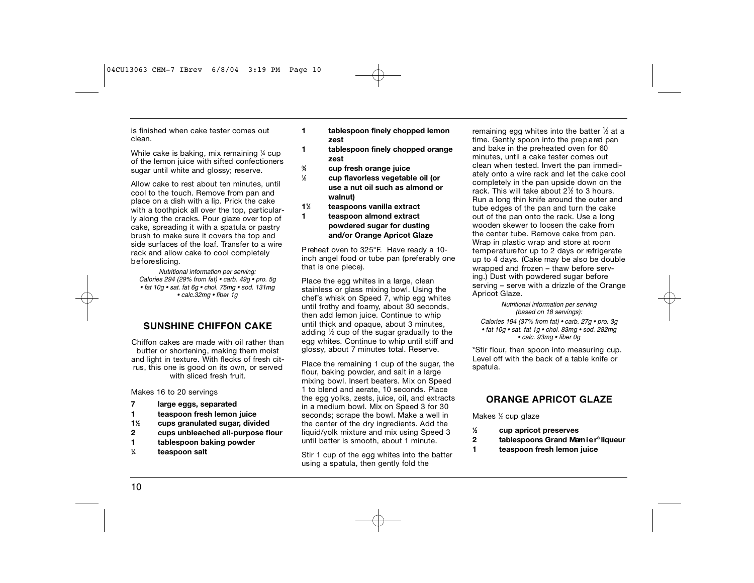is finished when cake tester comes out clean.

While cake is baking, mix remaining ¼ cup of the lemon juice with sifted confectioners sugar until white and glossy; reserve.

Allow cake to rest about ten minutes, until cool to the touch. Remove from pan and place on a dish with a lip. Prick the cake with a toothpick all over the top, particularly along the cracks. Pour glaze over top of cake, spreading it with a spatula or pastry brush to make sure it covers the top and side surfaces of the loaf. Transfer to a wire rack and allow cake to cool completely before slicina.

*Nutritional information per serving: Calories 294 (29% from fat) • carb. 49g • pro. 5g • fat 10g • sat. fat 6g • chol. 75mg • sod. 131mg • calc.32mg • fiber 1g*

### **SUNSHINE CHIFFON CAKE**

Chiffon cakes are made with oil rather than butter or shortening, making them moist and light in texture. With flecks of fresh citrus, this one is good on its own, or served with sliced fresh fruit.

Makes 16 to 20 servings

- **7 large eggs, separated**
- **1 teaspoon fresh lemon juice**
- **11 ⁄2 cups granulated sugar, divided**
- **2 cups unbleached all-purpose flour**
- **1 tablespoon baking powder**
- **1 ⁄4 teaspoon salt**
- **1 tablespoon finely chopped lemon zest**
- **1 tablespoon finely chopped orange zest**
- **3 ⁄4 cup fresh orange juice**
- **1 ⁄2 cup flavorless vegetable oil (or use a nut oil such as almond or walnut)**
- **11 ⁄2 teaspoons vanilla extract**
- **1 teaspoon almond extract powdered sugar for dusting and/or Orange Apricot Glaze**

P reheat oven to 325°F. Have ready a 10 inch angel food or tube pan (preferably one that is one piece).

Place the egg whites in a large, clean stainless or glass mixing bowl. Using the chef's whisk on Speed  $\overline{7}$ , whip egg whites until frothy and foamy, about 30 seconds, then add lemon juice. Continue to whip until thick and opaque, about 3 minutes, adding  $\%$  cup of the sugar gradually to the egg whites. Continue to whip until stiff and glossy, about 7 minutes total. Reserve.

Place the remaining 1 cup of the sugar, the flour, baking powder, and salt in a large mixing bowl. Insert beaters. Mix on Speed 1 to blend and aerate, 10 seconds. Place the egg yolks, zests, juice, oil, and extracts in a medium bowl. Mix on Speed 3 for 30 seconds; scrape the bowl. Make a well in the center of the dry ingredients. Add the liquid/yolk mixture and mix using Speed 3 until batter is smooth, about 1 minute.

Stir 1 cup of the egg whites into the batter using a spatula, then gently fold the

remaining egg whites into the batter  $\frac{1}{3}$  at a time. Gently spoon into the prepared pan and bake in the preheated oven for 60 minutes, until a cake tester comes out clean when tested. Invert the pan immediately onto a wire rack and let the cake cool completely in the pan upside down on the rack. This will take about 2<sup>1</sup> ⁄2 to 3 hours. Run a long thin knife around the outer and tube edges of the pan and turn the cake out of the pan onto the rack. Use a long wooden skewer to loosen the cake from the center tube. Remove cake from pan. Wrap in plastic wrap and store at room temperature for up to 2 days or refrigerate up to 4 days. (Cake may be also be double wrapped and frozen – thaw before serving.) Dust with powdered sugar before serving – serve with a drizzle of the Orange Apricot Glaze.

> *Nutritional information per serving (based on 18 servings):*

*Calories 194 (37% from fat) • carb. 27g • pro. 3g • fat 10g • sat. fat 1g • chol. 83mg • sod. 282mg • calc. 93mg • fiber 0g*

\*Stir flour, then spoon into measuring cup. Level off with the back of a table knife or spatula.

### **ORANGE APRICOT GLAZE**

Makes 1 ⁄2 cup glaze

**1**

- **⁄2 cup apricot preserves**
- **2 tablespoons Grand Mamier® liqueur**
- **1 teaspoon fresh lemon juice**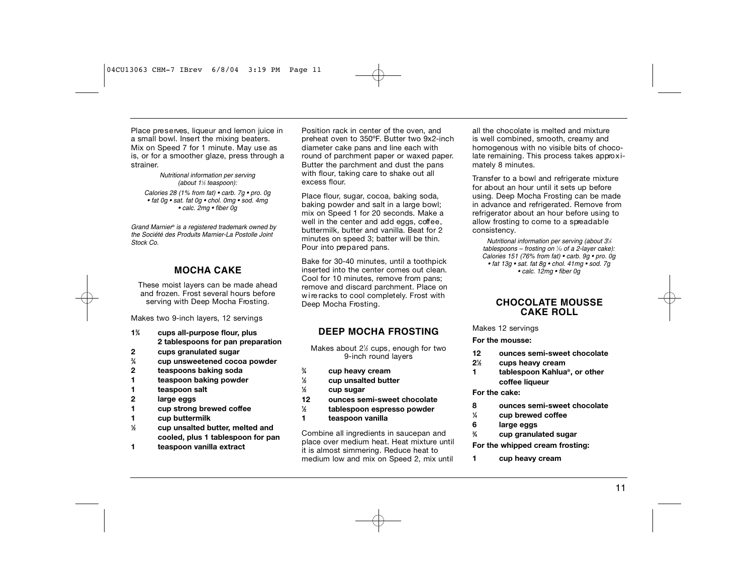Place preserves, liqueur and lemon juice in a small bowl. Insert the mixing beaters. Mix on Speed 7 for 1 minute. May use as is, or for a smoother glaze, press through a strainer.

*Nutritional information per serving (about 11 ⁄3 teaspoon): Calories 28 (1% from fat) • carb. 7g • pro. 0g • fat 0g • sat. fat 0g • chol. 0mg • sod. 4mg • calc. 2mg • fiber 0g*

*Grand Marnier® is a registered trademark owned by the Société des Produits Marnier-La Postolle Joint Stock Co.* 

#### **MOCHA CAKE**

These moist layers can be made ahead and frozen. Frost several hours before serving with Deep Mocha Frosting.

Makes two 9-inch layers, 12 servings

- **13 ⁄4 cups all-purpose flour, plus 2 tablespoons for pan preparation**
- **2 cups granulated sugar**
- **3 ⁄4 cup unsweetened cocoa powder**
- **2 teaspoons baking soda**
- **1 teaspoon baking powder**
- **1 teaspoon salt**
- **2 large eggs**
- **1 cup strong brewed coffee**
- **1 cup buttermilk**
- **1 ⁄2 cup unsalted butter, melted and cooled, plus 1 tablespoon for pan**
- **1 teaspoon vanilla extract**

Position rack in center of the oven, and p reheat oven to 350ºF. Butter two 9x2-inch diameter cake pans and line each with round of parchment paper or waxed paper. Butter the parchment and dust the pans with flour, taking care to shake out all excess flour.

Place flour, sugar, cocoa, baking soda, baking powder and salt in a large bowl; mix on Speed 1 for 20 seconds. Make a well in the center and add eggs, coffee. buttermilk, butter and vanilla. Beat for 2 minutes on speed 3; batter will be thin. Pour into prepared pans.

Bake for 30-40 minutes, until a toothpick inserted into the center comes out clean. Cool for 10 minutes, remove from pans; remove and discard parchment. Place on wire racks to cool completely. Frost with Deep Mocha Frosting.

### **DEEP MOCHA FROSTING**

Makes about 2<sup>1/2</sup> cups, enough for two 9-inch round layers

- **3 ⁄4 cup heavy cream**
- **1 ⁄2 cup unsalted butter**
- **1 ⁄2 cup sugar**
- **12 ounces semi-sweet chocolate**
- **1 ⁄2 tablespoon espresso powder**
- **1 teaspoon vanilla**

Combine all ingredients in saucepan and place over medium heat. Heat mixture until it is almost simmering. Reduce heat to medium low and mix on Speed 2, mix until all the chocolate is melted and mixture is well combined, smooth, creamy and homogenous with no visible bits of chocolate remaining. This process takes approximately 8 minutes.

Transfer to a bowl and refrigerate mixture for about an hour until it sets up before using. Deep Mocha Frosting can be made in advance and refrigerated. Remove from refrigerator about an hour before using to allow frosting to come to a spreadable consistency.

*Nutritional information per serving (about 31 ⁄3 tablespoons – frosting on 1 ⁄12 of a 2-layer cake): Calories 151 (76% from fat) • carb. 9g • pro. 0g • fat 13g • sat. fat 8g • chol. 41mg • sod. 7g • calc. 12mg • fiber 0g*

### **C H O C O L ATE MOUSSE CAKE ROLL**

Makes 12 servings

**For the mousse:**

- **12 ounces semi-sweet chocolate**
- **21 ⁄2 cups heavy cream**
- **1 tablespoon Kahlua®, or other coffee liqueur**

**For the cake:**

**1**

- **8 ounces semi-sweet chocolate**
	- **⁄4 cup brewed coffee**
- **6 large eggs**
- **3 ⁄4 cup granulated sugar**

**For the whipped cream frosting:**

**1 cup heavy cream**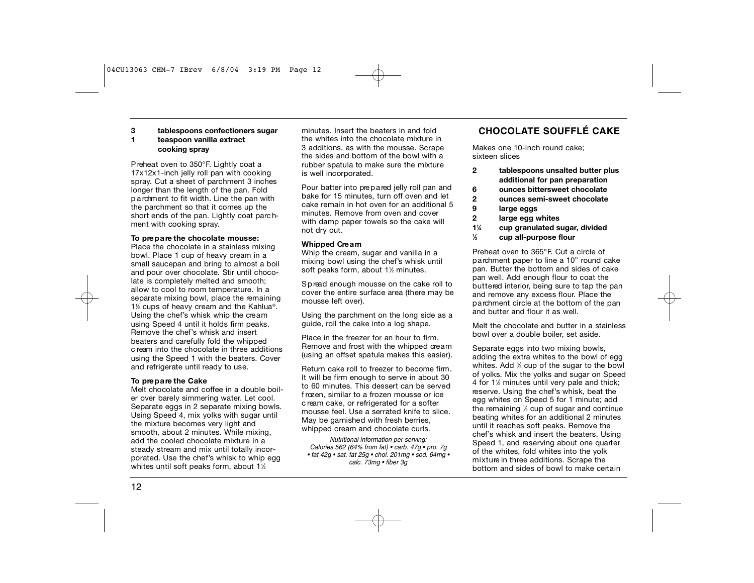#### **3 tablespoons confectioners sugar 1 teaspoon vanilla extract cooking spray**

P reheat oven to 350°F. Lightly coat a 17x12x1-inch jelly roll pan with cooking spray. Cut a sheet of parchment 3 inches longer than the length of the pan. Fold p a rd ment to fit width. Line the pan with the parchment so that it comes up the short ends of the pan. Lightly coat parc hment with cooking spray.

#### **To pre p a re the chocolate mousse:**

Place the chocolate in a stainless mixing bowl. Place 1 cup of heavy cream in a small saucepan and bring to almost a boil and pour over chocolate. Stir until chocolate is completely melted and smooth; allow to cool to room temperature. In a separate mixing bowl, place the remaining 1<sup>1/2</sup> cups of heavy cream and the Kahlua<sup>®</sup>. Using the chef's whisk whip the cream using Speed 4 until it holds firm peaks. Remove the chef's whisk and insert beaters and carefully fold the whipped c ream into the chocolate in three additions using the Speed 1 with the beaters. Cover and refrigerate until ready to use.

#### **To pre p a re the Cake**

Melt chocolate and coffee in a double boiler over barely simmering water. Let cool. Separate eggs in 2 separate mixing bowls. Using Speed 4, mix yolks with sugar until the mixture becomes very light and smooth, about 2 minutes. While mixing, add the cooled chocolate mixture in a steady stream and mix until totally incorporated. Use the chef's whisk to whip egg whites until soft peaks form, about 1½  $\,$ 

minutes. Insert the beaters in and fold the whites into the chocolate mixture in 3 additions, as with the mousse. Scrape the sides and bottom of the bowl with a rubber spatula to make sure the mixture is well incorporated.

Pour batter into prepared jelly roll pan and bake for 15 minutes, turn off oven and let cake remain in hot oven for an additional 5 minutes. Remove from oven and cover with damp paper towels so the cake will not dry out.

#### **Whipped Cre a m**

Whip the cream, sugar and vanilla in a mixing bowl using the chef's whisk until soft peaks form, about 1½ minutes.

Spread enough mousse on the cake roll to cover the entire surface area (there may be mousse left over).

Using the parchment on the long side as a guide, roll the cake into a log shape.

Place in the freezer for an hour to firm. Remove and frost with the whipped cream (using an offset spatula makes this easier).

Return cake roll to freezer to become firm. It will be firm enough to serve in about 30 to 60 minutes. This dessert can be served f rozen, similar to a frozen mousse or ice c ream cake, or refrigerated for a softer mousse feel. Use a serrated knife to slice. May be garnished with fresh berries, whipped cream and chocolate curls.

*Nutritional information per serving: Calories 562 (64% from fat) • carb. 47g • pro. 7g • fat 42g • sat. fat 25g • chol. 201mg • sod. 64mg • calc. 73mg • fiber 3g*

## **C H O C O L ATE SOUFFLÉ CAKE**

Makes one 10-inch round cake; sixteen slices

- **2 tablespoons unsalted butter plus additional for pan preparation**
- **6 ounces bittersweet chocolate**
- **2 ounces semi-sweet chocolate**
- **9 large eggs**
- **2 large egg whites**
- **11 ⁄4 cup granulated sugar, divided**
- **1 ⁄3 cup all-purpose flour**

Preheat oven to 365°F. Cut a circle of p a rchment paper to line a 10" round cake pan. Butter the bottom and sides of cake pan well. Add enough flour to coat the buttered interior, being sure to tap the pan and remove any excess flour. Place the p a rchment circle at the bottom of the pan and butter and flour it as well.

Melt the chocolate and butter in a stainless bowl over a double boiler, set aside.

Separate eggs into two mixing bowls, adding the extra whites to the bowl of egg whites. Add 3 ⁄4 cup of the sugar to the bowl of yolks. Mix the yolks and sugar on Speed 4 for 1<sup>1/2</sup> minutes until very pale and thick; reserve. Using the chef's whisk, beat the egg whites on Speed 5 for 1 minute; add the remaining 1 ⁄2 cup of sugar and continue beating whites for an additional 2 minutes until it reaches soft peaks. Remove the chef's whisk and insert the beaters. Using Speed 1, and reserving about one quarter of the whites, fold whites into the yolk mixture in three additions. Scrape the bottom and sides of bowl to make certain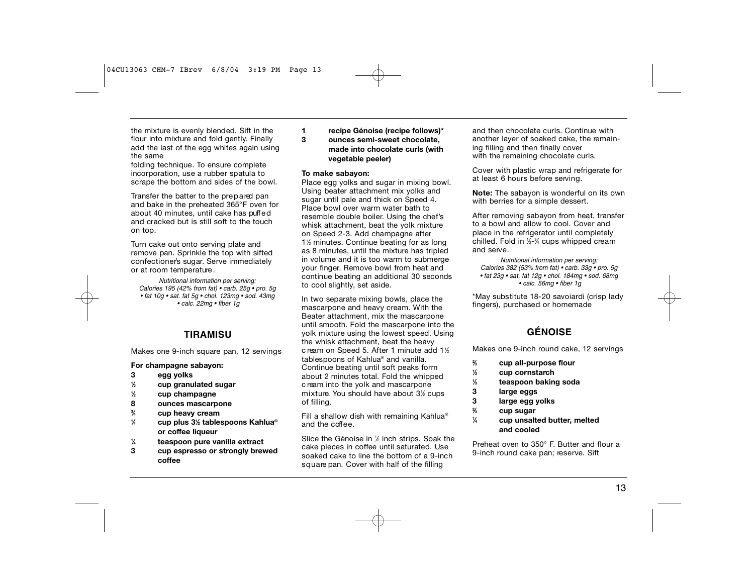the mixture is evenly blended. Sift in the flour into mixture and fold gently. Finally add the last of the egg whites again using the same

folding technique. To ensure complete incorporation, use a rubber spatula to scrape the bottom and sides of the bowl.

Transfer the batter to the prepared pan and bake in the preheated 365°F oven for about 40 minutes, until cake has puffed and cracked but is still soft to the touch on top.

Turn cake out onto serving plate and remove pan. Sprinkle the top with sifted confectioner's sugar. Serve immediately or at room temperature .

*Nutritional information per serving: Calories 195 (42% from fat) • carb. 25g • pro. 5g • fat 10g • sat. fat 5g • chol. 123mg • sod. 43mg • calc. 22mg • fiber 1g*

#### **T I R A M I SU**

Makes one 9-inch square pan, 12 servings

**For champagne sabayon:**

#### **3 egg yolks**

- **1 ⁄2 cup granulated sugar**
- **1 ⁄2 cup champagne**
- **8 ounces mascarpone**
- **3 ⁄4 cup heavy cream**
- **1 ⁄4 cup plus 31 ⁄2 tablespoons Kahlua® or coffee liqueur**
- **1 ⁄4 teaspoon pure vanilla extract**
- **3 cup espresso or strongly brewed coffee**

#### **1 recipe Génoise (recipe follows)\* 3 ounces semi-sweet chocolate, made into chocolate curls (with vegetable peeler)**

#### **To make sabayon:**

Place egg yolks and sugar in mixing bowl. Using beater attachment mix yolks and sugar until pale and thick on Speed 4. Place bowl over warm water bath to resemble double boiler. Using the chef's whisk attachment, beat the yolk mixture on Speed 2-3. Add champagne after 1<sup>1/2</sup> minutes. Continue beating for as long as 8 minutes, until the mixture has tripled in volume and it is too warm to submerge your finger. Remove bowl from heat and continue beating an additional 30 seconds to cool slightly, set aside.

In two separate mixing bowls, place the mascarpone and heavy cream. With the Beater attachment, mix the mascarpone until smooth. Fold the mascarpone into the yolk mixture using the lowest speed. Using the whisk attachment, beat the heavy c ream on Speed 5. After 1 minute add 1½ tablespoons of Kahlua® and vanilla. Continue beating until soft peaks form about 2 minutes total. Fold the whipped c ream into the yolk and mascarpone mixture. You should have about 3½ cups of filling.

Fill a shallow dish with remaining Kahlua® and the coffee.

Slice the Génoise in 1 ⁄2 inch strips. Soak the cake pieces in coffee until saturated. Use soaked cake to line the bottom of a 9-inch s quare pan. Cover with half of the filling

and then chocolate curls. Continue with another layer of soaked cake, the remaining filling and then finally cover with the remaining chocolate curls.

Cover with plastic wrap and refrigerate for at least 6 hours before serving.

**Note:** The sabayon is wonderful on its own with berries for a simple dessert.

After removing sabayon from heat, transfer to a bowl and allow to cool. Cover and place in the refrigerator until completely chilled. Fold in ½-¾ cups whipped cream and serve.

*Nutritional information per serving: Calories 382 (53% from fat) • carb. 33g • pro. 5g • fat 23g • sat. fat 12g • chol. 184mg • sod. 68mg • calc. 56mg • fiber 1g*

\*May substitute 18-20 savoiardi (crisp lady fingers), purchased or homemade

## **G É N O I S E**

Makes one 9-inch round cake, 12 servings

- **2 ⁄3 cup all-purpose flour**
- **1 ⁄3 cup cornstarch**
- **1 ⁄3 teaspoon baking soda**
- **3 large eggs**
- **3 large egg yolks**
- **2 ⁄3 cup sugar**
- **1 ⁄4 cup unsalted butter, melted and cooled**

Preheat oven to 350° F. Butter and flour a 9-inch round cake pan; reserve. Sift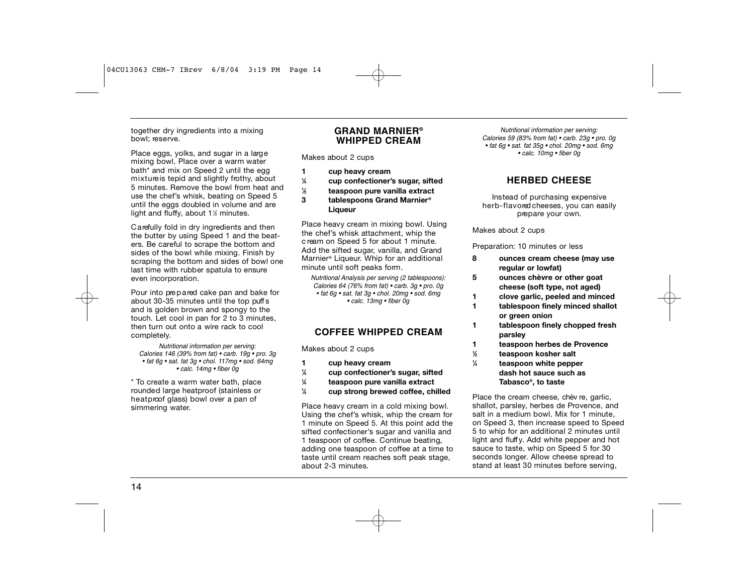#### together dry ingredients into a mixing bowl; reserve.

Place eggs, yolks, and sugar in a large mixing bowl. Place over a warm water bath<sup>\*</sup> and mix on Speed 2 until the egg mixture is tepid and slightly frothy, about 5 minutes. Remove the bowl from heat and use the chef's whisk, beating on Speed 5 until the eggs doubled in volume and are light and fluffy, about 1½ minutes.

C a refully fold in dry ingredients and then the butter by using Speed 1 and the beaters. Be careful to scrape the bottom and sides of the bowl while mixing. Finish by scraping the bottom and sides of bowl one last time with rubber spatula to ensure even incorporation.

Pour into prepared cake pan and bake for about 30-35 minutes until the top puff s and is golden brown and spongy to the touch. Let cool in pan for 2 to 3 minutes, then turn out onto a wire rack to cool completely.

*Nutritional information per serving: Calories 146 (39% from fat) • carb. 19g • pro. 3g • fat 6g • sat. fat 3g • chol. 117mg • sod. 64mg • calc. 14mg • fiber 0g*

\* To create a warm water bath, place rounded large heatproof (stainless or heat proof glass) bowl over a pan of simmering water.

#### **GRAND MARNIER® WHIPPED CREAM**

Makes about 2 cups

- **1 cup heavy cream**
- **1 ⁄4 cup confectioner's sugar, sifted**
- **1 ⁄2 teaspoon pure vanilla extract**
- **3 tablespoons Grand Marnier® Liqueur**

Place heavy cream in mixing bowl. Using the chef's whisk attachment, whip the c ream on Speed 5 for about 1 minute. Add the sifted sugar, vanilla, and Grand Marnier<sup>®</sup> Liqueur. Whip for an additional minute until soft peaks form .

*Nutritional Analysis per serving (2 tablespoons): Calories 64 (76% from fat) • carb. 3g • pro. 0g • fat 6g • sat. fat 3g • chol. 20mg • sod. 6mg • calc. 13mg • fiber 0g*

#### **COFFEE WHIPPED CREAM**

Makes about 2 cups

- **1 cup heavy cream**
- **1 ⁄4 cup confectioner's sugar, sifted**
- **1 ⁄4 teaspoon pure vanilla extract**
- **1 ⁄4 cup strong brewed coffee, chilled**

Place heavy cream in a cold mixing bowl. Using the chef's whisk, whip the cream for 1 minute on Speed 5. At this point add the sifted confectioner's sugar and vanilla and 1 teaspoon of coffee. Continue beating, adding one teaspoon of coffee at a time to taste until cream reaches soft peak stage, about 2-3 minutes.

*Nutritional information per serving: Calories 59 (83% from fat) • carb. 23g • pro. 0g • fat 6g • sat. fat 35g • chol. 20mg • sod. 6mg • calc. 10mg • fiber 0g*

#### **HERBED CHEESE**

Instead of purchasing expensive herb-flavored cheeses, you can easily prepare your own.

Makes about 2 cups

Preparation: 10 minutes or less

- **8 ounces cream cheese (may use regular or lowfat)**
- **5 ounces chèvre or other goat cheese (soft type, not aged)**
- **1 clove garlic, peeled and minced**
- **1 tablespoon finely minced shallot or green onion**
- **1 tablespoon finely chopped fresh parsley**
- **1 teaspoon herbes de Provence**
- **1 ⁄2 teaspoon kosher salt**
- **1 ⁄4 teaspoon white pepper dash hot sauce such as Tabasco®, to taste**

Place the cream cheese, chèv re, garlic, shallot, parsley, herbes de Provence, and salt in a medium bowl. Mix for 1 minute, on Speed 3, then increase speed to Speed 5 to whip for an additional 2 minutes until light and fluff y. Add white pepper and hot sauce to taste, whip on Speed 5 for 30 seconds longer. Allow cheese spread to stand at least 30 minutes before serving.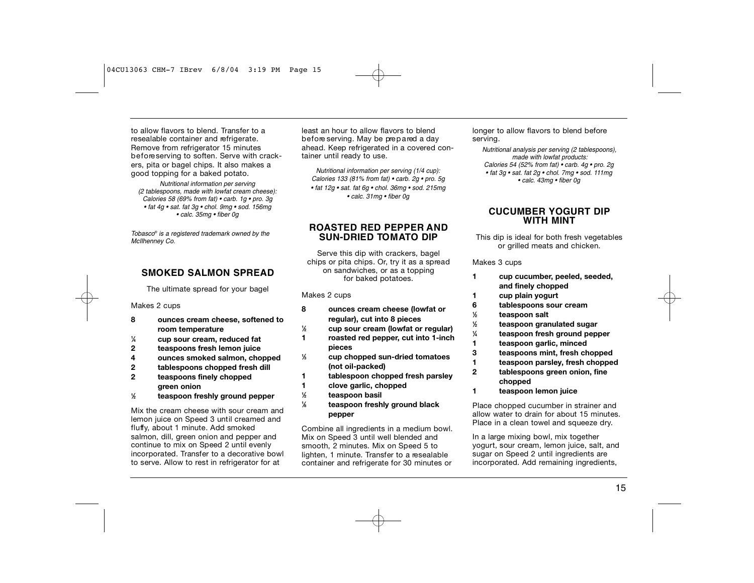to allow flavors to blend. Transfer to a resealable container and refrigerate. Remove from refrigerator 15 minutes before serving to soften. Serve with crackers, pita or bagel chips. It also makes a good topping for a baked potato.

*Nutritional information per serving (2 tablespoons, made with lowfat cream cheese): Calories 58 (69% from fat) • carb. 1g • pro. 3g • fat 4g • sat. fat 3g • chol. 9mg • sod. 156mg • calc. 35mg • fiber 0g*

*Tobasco® is a registered trademark owned by the McIlhenney Co.*

#### **SMOKED SALMON SPREAD**

The ultimate spread for your bagel

#### Makes 2 cups

- **8 ounces cream cheese, softened to room temperature**
- **1 ⁄4 cup sour cream, reduced fat**
- **2 teaspoons fresh lemon juice**
- **4 ounces smoked salmon, chopped**
- **2 tablespoons chopped fresh dill**
- **2 teaspoons finely chopped green onion**
- **1 ⁄2 teaspoon freshly ground pepper**

Mix the cream cheese with sour cream and lemon juice on Speed 3 until creamed and fluffy, about 1 minute. Add smoked salmon, dill, green onion and pepper and continue to mix on Speed 2 until evenly incorporated. Transfer to a decorative bowl to serve. Allow to rest in refrigerator for at

least an hour to allow flavors to blend b e f ore serving. May be prepared a day ahead. Keep refrigerated in a covered container until ready to use.

*Nutritional information per serving (1/4 cup): Calories 133 (81% from fat) • carb. 2g • pro. 5g • fat 12g • sat. fat 6g • chol. 36mg • sod. 215mg • calc. 31mg • fiber 0g*

#### **ROASTED RED PEPPER A N D SUN-DRIED TO M ATO DIP**

Serve this dip with crackers, bagel chips or pita chips. Or, try it as a spread on sandwiches, or as a topping for baked potatoes.

#### Makes 2 cups

| 8 | ounces cream cheese (lowfat or     |
|---|------------------------------------|
|   | regular), cut into 8 pieces        |
| ½ | cup sour cream (lowfat or regular) |

- **1 roasted red pepper, cut into 1-inch**
- **pieces**
- **1 ⁄3 cup chopped sun-dried tomatoes (not oil-packed)**
- **1 tablespoon chopped fresh parsley**
- **1 clove garlic, chopped**
- **1 ⁄2 teaspoon basil**
- **1 ⁄8 teaspoon freshly ground black pepper**

Combine all ingredients in a medium bowl. Mix on Speed 3 until well blended and smooth, 2 minutes. Mix on Speed 5 to lighten, 1 minute. Transfer to a resealable container and refrigerate for 30 minutes or

longer to allow flavors to blend before serving.

*Nutritional analysis per serving (2 tablespoons), made with lowfat products: Calories 54 (52% from fat) • carb. 4g • pro. 2g • fat 3g • sat. fat 2g • chol. 7mg • sod. 111mg • calc. 43mg • fiber 0g*

#### **CUCUMBER YOGURT DIP WITH MINT**

This dip is ideal for both fresh vegetables or grilled meats and chicken.

#### Makes 3 cups

**1**

- **1 cup cucumber, peeled, seeded, and finely chopped**
- **1 cup plain yogurt**
- **6 tablespoons sour cream**
- **1 ⁄2 teaspoon salt**
	- **⁄2 teaspoon granulated sugar**
- **1 ⁄4 teaspoon fresh ground pepper**
- **1 teaspoon garlic, minced**
- **3 teaspoons mint, fresh chopped**
- **1 teaspoon parsley, fresh chopped**
- **2 tablespoons green onion, fine chopped**
- **1 teaspoon lemon juice**

Place chopped cucumber in strainer and allow water to drain for about 15 minutes. Place in a clean towel and squeeze dry.

In a large mixing bowl, mix together yogurt, sour cream, lemon juice, salt, and sugar on Speed 2 until ingredients are incorporated. Add remaining ingredients,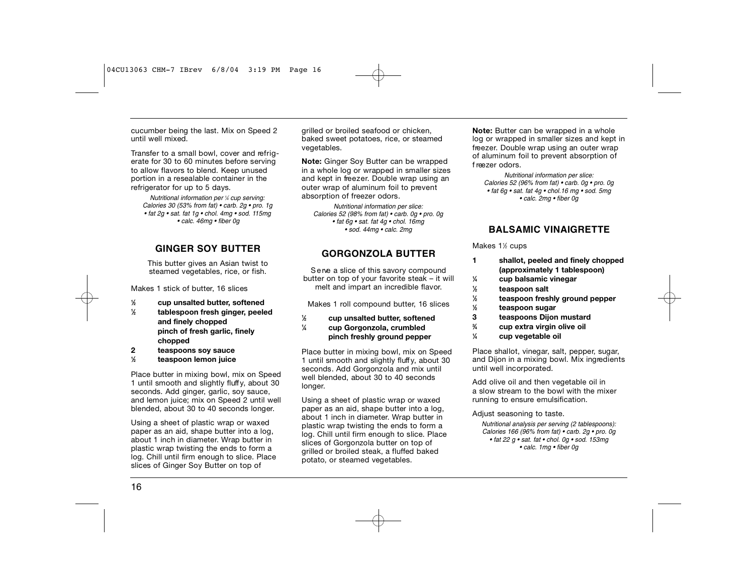cucumber being the last. Mix on Speed 2 until well mixed.

Transfer to a small bowl, cover and refrigerate for 30 to 60 minutes before serving to allow flavors to blend. Keep unused portion in a resealable container in the refrigerator for up to 5 days.

*Nutritional information per 1 ⁄4 cup serving: Calories 30 (53% from fat) • carb. 2g • pro. 1g • fat 2g • sat. fat 1g • chol. 4mg • sod. 115mg • calc. 46mg • fiber 0g*

### **GINGER SOY B U T T E R**

This butter gives an Asian twist to steamed vegetables, rice, or fish.

Makes 1 stick of butter, 16 slices

- **1 ⁄2 cup unsalted butter, softened 1 ⁄2 tablespoon fresh ginger, peeled and finely chopped pinch of fresh garlic, finely**
- **chopped**
- **2 teaspoons soy sauce**
- **1 ⁄2 teaspoon lemon juice**

Place butter in mixing bowl, mix on Speed 1 until smooth and slightly fluff y, about 30 seconds. Add ginger, garlic, soy sauce, and lemon juice; mix on Speed 2 until well blended, about 30 to 40 seconds longer.

Using a sheet of plastic wrap or waxed paper as an aid, shape butter into a log, about 1 inch in diameter. Wrap butter in plastic wrap twisting the ends to form a log. Chill until firm enough to slice. Place slices of Ginger Soy Butter on top of

grilled or broiled seafood or chicken, baked sweet potatoes, rice, or steamed vegetables.

**Note:** Ginger Soy Butter can be wrapped in a whole log or wrapped in smaller sizes and kept in freezer. Double wrap using an outer wrap of aluminum foil to prevent absorption of freezer odors.

*Nutritional information per slice: Calories 52 (98% from fat) • carb. 0g • pro. 0g • fat 6g • sat. fat 4g • chol. 16mg • sod. 44mg • calc. 2mg*

#### **G O R G O N Z O L A B U T T E R**

Serve a slice of this savory compound butter on top of your favorite steak – it will melt and impart an incredible flavor.

Makes 1 roll compound butter, 16 slices

- **1 ⁄2 cup unsalted butter, softened**
- **1 ⁄4 cup Gorgonzola, crumbled pinch freshly ground pepper**

Place butter in mixing bowl, mix on Speed 1 until smooth and slightly fluff y, about 30 seconds. Add Gorgonzola and mix until well blended, about 30 to 40 seconds longer.

Using a sheet of plastic wrap or waxed paper as an aid, shape butter into a log, about 1 inch in diameter. Wrap butter in plastic wrap twisting the ends to form a log. Chill until firm enough to slice. Place slices of Gorgonzola butter on top of grilled or broiled steak, a fluffed baked potato, or steamed vegetables.

**Note:** Butter can be wrapped in a whole log or wrapped in smaller sizes and kept in freezer. Double wrap using an outer wrap of aluminum foil to prevent absorption of f reezer odors.

*Nutritional information per slice: Calories 52 (96% from fat) • carb. 0g • pro. 0g • fat 6g • sat. fat 4g • chol.16 mg • sod. 5mg • calc. 2mg • fiber 0g*

### **BALSAMIC VINAIGRETTE**

#### Makes 1½ cups

- **1 shallot, peeled and finely chopped (approximately 1 tablespoon)**
- **1 ⁄4 cup balsamic vinegar**
- **1 ⁄2 teaspoon salt**
- **1 ⁄2 teaspoon freshly ground pepper**
- **1 ⁄2 teaspoon sugar**
- **3 teaspoons Dijon mustard**
- **3 ⁄4 cup extra virgin olive oil**
- **1 ⁄4 cup vegetable oil**

Place shallot, vinegar, salt, pepper, sugar, and Dijon in a mixing bowl. Mix ingredients until well incorporated.

Add olive oil and then vegetable oil in a slow stream to the bowl with the mixer running to ensure emulsification.

Adjust seasoning to taste.

*Nutritional analysis per serving (2 tablespoons): Calories 166 (96% from fat) • carb. 2g • pro. 0g • fat 22 g • sat. fat • chol. 0g • sod. 153mg • calc. 1mg • fiber 0g*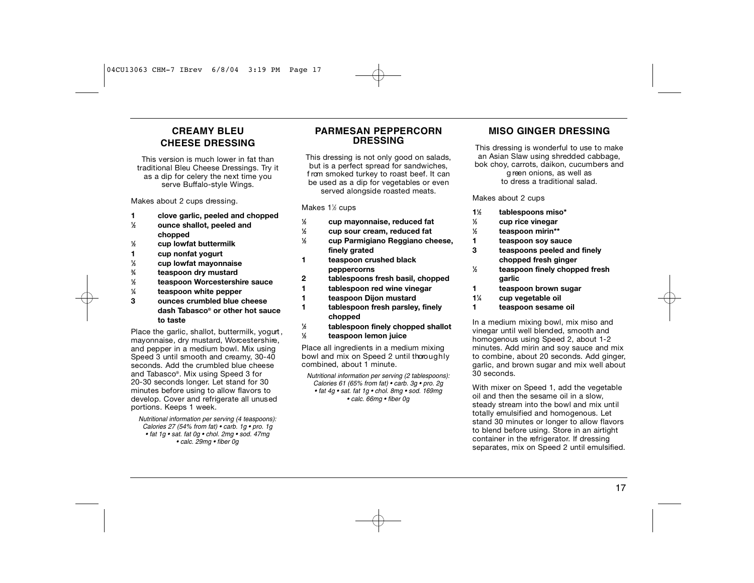## **C R E A M Y B L E U CHEESE DRESSING**

This version is much lower in fat than traditional Bleu Cheese Dressings. Try it as a dip for celery the next time you serve Buffalo-style Wings.

Makes about 2 cups dressing.

- **1 clove garlic, peeled and chopped 1 ⁄2 ounce shallot, peeled and chopped**
- **1 ⁄2 cup lowfat buttermilk**
- **1 cup nonfat yogurt**
- **1 ⁄3 cup lowfat mayonnaise**
- **3 ⁄4 teaspoon dry mustard**
- **1 ⁄2 teaspoon Worcestershire sauce**
- **1 ⁄4 teaspoon white pepper**
- **3 ounces crumbled blue cheese dash Tabasco® or other hot sauce to taste**

#### Place the garlic, shallot, buttermilk, yogurt , mayonnaise, dry mustard, Worcestershire, and pepper in a medium bowl. Mix using Speed  $3$  until smooth and creamy,  $30-40$ seconds. Add the crumbled blue cheese and Tabasco®. Mix using Speed 3 for 20-30 seconds longer. Let stand for 30 minutes before using to allow flavors to develop. Cover and refrigerate all unused portions. Keeps 1 week.

*Nutritional information per serving (4 teaspoons): Calories 27 (54% from fat) • carb. 1g • pro. 1g • fat 1g • sat. fat 0g • chol. 2mg • sod. 47mg • calc. 29mg • fiber 0g*

#### **PARMESAN PEPPERCORN DRESSING**

This dressing is not only good on salads, but is a perfect spread for sandwiches, f rom smoked turkey to roast beef. It can be used as a dip for vegetables or even served alongside roasted meats.

#### Makes 1½ cups

- **1 ⁄2 cup mayonnaise, reduced fat 1 ⁄2 cup sour cream, reduced fat**
- **1 ⁄2 cup Parmigiano Reggiano cheese, finely grated**
- **1 teaspoon crushed black peppercorns**
- **2 tablespoons fresh basil, chopped**
- **1 tablespoon red wine vinegar**
- **1 teaspoon Dijon mustard**
- **1 tablespoon fresh parsley, finely chopped**
- **1 ⁄2 tablespoon finely chopped shallot**
- **1 ⁄2 teaspoon lemon juice**

Place all ingredients in a medium mixing bowl and mix on Speed 2 until thoroughly combined, about 1 minute.

*Nutritional information per serving (2 tablespoons): Calories 61 (65% from fat) • carb. 3g • pro. 2g • fat 4g • sat. fat 1g • chol. 8mg • sod. 169mg • calc. 66mg • fiber 0g* 

#### **MISO GINGER DRESSING**

This dressing is wonderful to use to make an Asian Slaw using shredded cabbage, bok choy, carrots, daikon, cucumbers and

> g reen onions, as well as to dress a traditional salad.

#### Makes about 2 cups

- **11 ⁄2 tablespoons miso\***
- **1 ⁄3 cup rice vinegar**
- **1 ⁄2 teaspoon mirin\*\***
- 
- **1 teaspoon soy sauce 3 teaspoons peeled and finely chopped fresh ginger**
- **1 ⁄2 teaspoon finely chopped fresh garlic**
- **1 teaspoon brown sugar**
- **11 ⁄4 cup vegetable oil**
- **1 teaspoon sesame oil**

In a medium mixing bowl, mix miso and vinegar until well blended, smooth and homogenous using Speed 2, about 1-2 minutes. Add mirin and soy sauce and mix to combine, about 20 seconds. Add ginger, garlic, and brown sugar and mix well about 30 seconds.

With mixer on Speed 1, add the vegetable oil and then the sesame oil in a slow, steady stream into the bowl and mix until totally emulsified and homogenous. Let stand 30 minutes or longer to allow flavors to blend before using. Store in an airtight container in the refrigerator. If dressing separates, mix on Speed 2 until emulsified.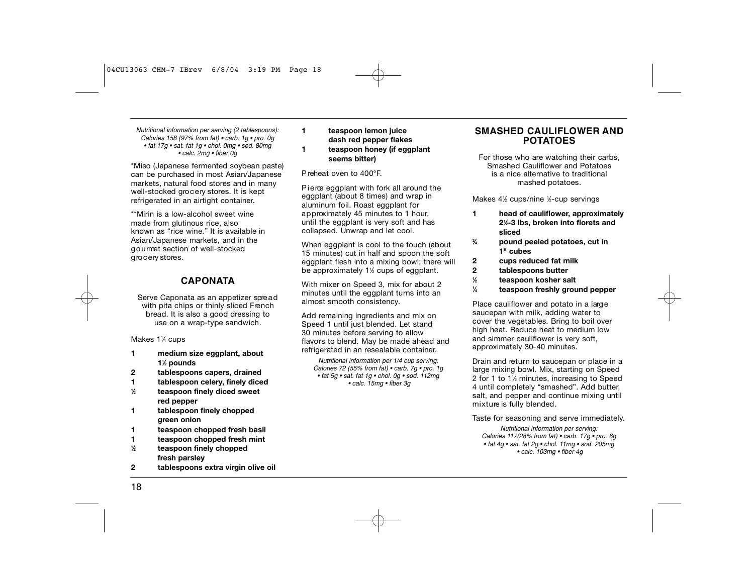*Nutritional information per serving (2 tablespoons): Calories 158 (97% from fat) • carb. 1g • pro. 0g • fat 17g • sat. fat 1g • chol. 0mg • sod. 80mg • calc. 2mg • fiber 0g*

\*Miso (Japanese fermented soybean paste) can be purchased in most Asian/Japanese markets, natural food stores and in many well-stocked grocery stores. It is kept refrigerated in an airtight container.

\*\*Mirin is a low-alcohol sweet wine made from glutinous rice, also known as "rice wine." It is available in Asian/Japanese markets, and in the g o u rmet section of well-stocked grocery stores.

#### **C A P O N ATA**

Serve Caponata as an appetizer spread with pita chips or thinly sliced French bread. It is also a good dressing to use on a wrap-type sandwich.

Makes 1¼ cups

- **1 medium size eggplant, about 11 ⁄2 pounds**
- **2 tablespoons capers, drained**
- **1 tablespoon celery, finely diced**
- **1 ⁄2 teaspoon finely diced sweet red pepper**
- **1 tablespoon finely chopped green onion**
- **1 teaspoon chopped fresh basil**
- **1 teaspoon chopped fresh mint**
- **1 ⁄2 teaspoon finely chopped fresh parsley**
- **2 tablespoons extra virgin olive oil**

#### **1 teaspoon lemon juice dash red pepper flakes 1 teaspoon honey (if eggplant seems bitter)**

P reheat oven to 400°F.

Pierce eggplant with fork all around the eggplant (about 8 times) and wrap in aluminum foil. Roast eggplant for approximately 45 minutes to 1 hour, until the eggplant is very soft and has collapsed. Unwrap and let cool.

When eggplant is cool to the touch (about 15 minutes) cut in half and spoon the soft eggplant flesh into a mixing bowl; there will be approximately 1½ cups of eggplant.

With mixer on Speed 3, mix for about 2 minutes until the eggplant turns into an almost smooth consistency.

Add remaining ingredients and mix on Speed 1 until just blended. Let stand 30 minutes before serving to allow flavors to blend. May be made ahead and refrigerated in an resealable container.

*Nutritional information per 1/4 cup serving: Calories 72 (55% from fat) • carb. 7g • pro. 1g • fat 5g • sat. fat 1g • chol. 0g • sod. 112mg • calc. 15mg • fiber 3g*

#### **SMASHED CAULIFLOWER AND P O TATOES**

For those who are watching their carbs, Smashed Cauliflower and Potatoes is a nice alternative to traditional mashed potatoes.

Makes 4½ cups/nine ½-cup servings

- **1 head of cauliflower, approximately 21 ⁄2-3 lbs, broken into florets and sliced**
	- **⁄4 pound peeled potatoes, cut in 1" cubes**
- **2 cups reduced fat milk**
- **2 tablespoons butter**

**3**

- **1 ⁄2 teaspoon kosher salt**
- **1 ⁄4 teaspoon freshly ground pepper**

Place cauliflower and potato in a large saucepan with milk, adding water to cover the vegetables. Bring to boil over high heat. Reduce heat to medium low and simmer cauliflower is very soft, approximately 30-40 minutes.

Drain and return to saucepan or place in a large mixing bowl. Mix, starting on Speed 2 for 1 to 1½ minutes, increasing to Speed 4 until completely "smashed". Add butter, salt, and pepper and continue mixing until mixture is fully blended.

Taste for seasoning and serve immediately.

*Nutritional information per serving: Calories 117(28% from fat) • carb. 17g • pro. 6g • fat 4g • sat. fat 2g • chol. 11mg • sod. 205mg • calc. 103mg • fiber 4g*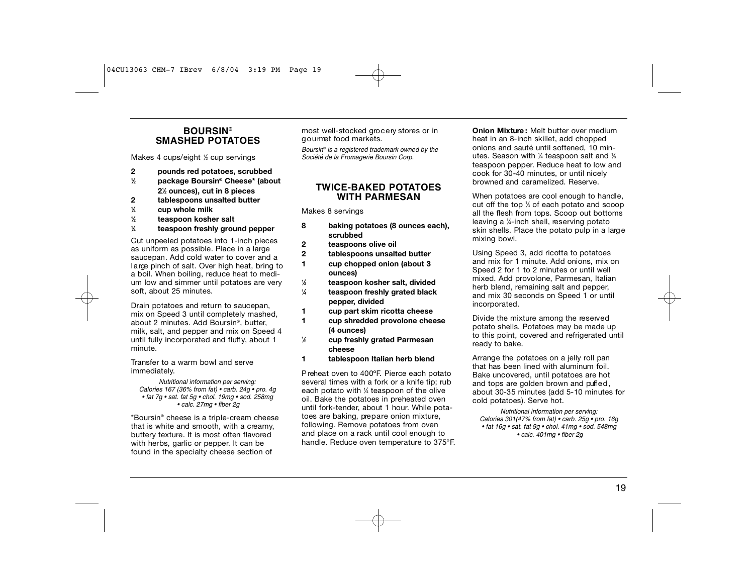#### **B O U R S I N® SMASHED POTATOES**

Makes 4 cups/eight 1/2 cup servings

- **2 pounds red potatoes, scrubbed**
- **1 ⁄2 package Boursin® Cheese\* (about 21 ⁄2 ounces), cut in 8 pieces**
- **2 tablespoons unsalted butter**
- **1 ⁄4 cup whole milk**
- **1 ⁄2 teaspoon kosher salt**
- **1 ⁄4 teaspoon freshly ground pepper**

Cut unpeeled potatoes into 1-inch pieces as uniform as possible. Place in a large saucepan. Add cold water to cover and a large pinch of salt. Over high heat, bring to a boil. When boiling, reduce heat to medium low and simmer until potatoes are very soft, about 25 minutes.

Drain potatoes and return to saucepan, mix on Speed 3 until completely mashed, about 2 minutes. Add Boursin®, butter, milk, salt, and pepper and mix on Speed 4 until fully incorporated and fluff y, about 1 minute.

Transfer to a warm bowl and serve immediately.

*Nutritional information per serving: Calories 167 (36% from fat) • carb. 24g • pro. 4g • fat 7g • sat. fat 5g • chol. 19mg • sod. 258mg • calc. 27mg • fiber 2g*

\* Boursin® cheese is a triple-cream cheese that is white and smooth, with a creamy, buttery texture. It is most often flavored with herbs, garlic or pepper. It can be found in the specialty cheese section of

most well-stocked grocery stores or in goumet food markets.

*Boursin® is a registered trademark owned by the Société de la Fromagerie Boursin Corp.*

#### **TWICE-BAKED POTATOES WITH PARMESAN**

Makes 8 servings

- **8 baking potatoes (8 ounces each), scrubbed**
- **2 teaspoons olive oil**
- **2 tablespoons unsalted butter 1 cup chopped onion (about 3 ounces)**
- **1 ⁄2 teaspoon kosher salt, divided**
- **1 ⁄4 teaspoon freshly grated black pepper, divided**
- **1 cup part skim ricotta cheese**
- **1 cup shredded provolone cheese (4 ounces)**
- **1 ⁄2 cup freshly grated Parmesan cheese**
- **1 tablespoon Italian herb blend**

P reheat oven to 400ºF. Pierce each potato several times with a fork or a knife tip; rub each potato with 1 ⁄4 teaspoon of the olive oil. Bake the potatoes in preheated oven until fork-tender, about 1 hour. While potatoes are baking, prepare onion mixture, following. Remove potatoes from oven and place on a rack until cool enough to handle. Reduce oven temperature to 375°F. **Onion Mixture :** Melt butter over medium heat in an 8-inch skillet, add chopped onions and sauté until softened, 10 minutes. Season with ¼ teaspoon salt and ¼ teaspoon pepper. Reduce heat to low and cook for 30-40 minutes, or until nicely browned and caramelized. Reserve.

When potatoes are cool enough to handle. cut off the top 1 ⁄3 of each potato and scoop all the flesh from tops. Scoop out bottoms leaving a ¼-inch shell, reserving potato skin shells. Place the potato pulp in a large mixing bowl.

Using Speed 3, add ricotta to potatoes and mix for 1 minute. Add onions, mix on Speed 2 for 1 to 2 minutes or until well mixed. Add provolone, Parmesan, Italian herb blend, remaining salt and pepper, and mix 30 seconds on Speed 1 or until incorporated.

Divide the mixture among the reserved potato shells. Potatoes may be made up to this point, covered and refrigerated until ready to bake.

Arrange the potatoes on a jelly roll pan that has been lined with aluminum foil. Bake uncovered, until potatoes are hot and tops are golden brown and puffed, about 30-35 minutes (add 5-10 minutes for cold potatoes). Serve hot.

*Nutritional information per serving: Calories 301(47% from fat) • carb. 25g • pro. 16g • fat 16g • sat. fat 9g • chol. 41mg • sod. 548mg • calc. 401mg • fiber 2g*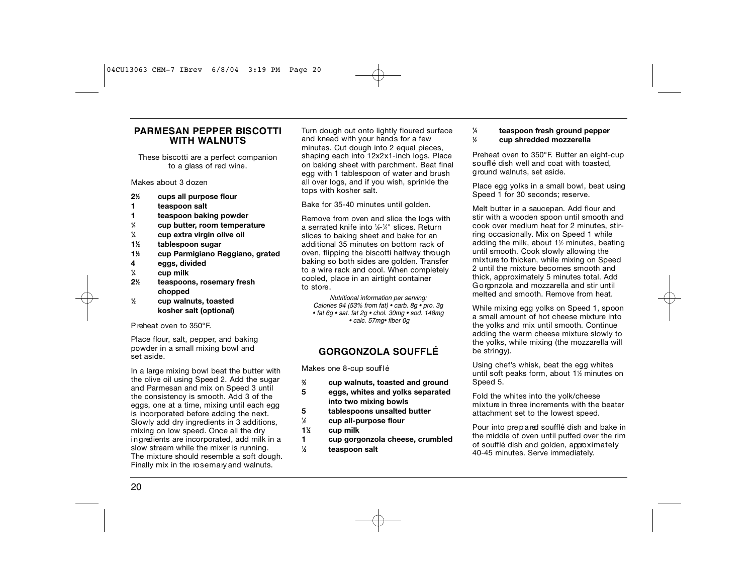### **PARMESAN PEPPER BISCOTTI WITH WALNUTS**

These biscotti are a perfect companion to a glass of red wine.

Makes about 3 dozen

- **21 ⁄2 cups all purpose flour**
- **1 teaspoon salt**
- **1 teaspoon baking powder**
- **1 ⁄4 cup butter, room temperature**
- **1 ⁄4 cup extra virgin olive oil**
- **11 ⁄2 tablespoon sugar**
- **11 ⁄3 cup Parmigiano Reggiano, grated**
- **4 eggs, divided**
- **1 ⁄4 cup milk**

**1**

- **21 ⁄2 teaspoons, rosemary fresh chopped**
	- **⁄2 cup walnuts, toasted kosher salt (optional)**

P reheat oven to 350°F.

Place flour, salt, pepper, and baking powder in a small mixing bowl and set aside.

In a large mixing bowl beat the butter with the olive oil using Speed 2. Add the sugar and Parmesan and mix on Speed 3 until the consistency is smooth. Add 3 of the eggs, one at a time, mixing until each egg is incorporated before adding the next. Slowly add dry ingredients in 3 additions, mixing on low speed. Once all the dry ing redients are incorporated, add milk in a slow stream while the mixer is running. The mixture should resemble a soft dough. Finally mix in the rosemary and walnuts.

Turn dough out onto lightly floured surface and knead with your hands for a few minutes. Cut dough into 2 equal pieces, shaping each into 12x2x1-inch logs. Place on baking sheet with parchment. Beat final egg with 1 tablespoon of water and brush all over logs, and if you wish, sprinkle the tops with kosher salt.

#### Bake for 35-40 minutes until golden.

Remove from oven and slice the logs with a serrated knife into 1⁄8-1⁄4" slices. Return slices to baking sheet and bake for an additional 35 minutes on bottom rack of oven, flipping the biscotti halfway through baking so both sides are golden. Transfer to a wire rack and cool. When completely cooled, place in an airtight container to store .

*Nutritional information per serving: Calories 94 (53% from fat) • carb. 8g • pro. 3g • fat 6g • sat. fat 2g • chol. 30mg • sod. 148mg • calc. 57mg• fiber 0g*

## **G O R G O N Z O L A S O U F F L É**

Makes one 8-cup soufflé

- **2 ⁄3 cup walnuts, toasted and ground**
- **5 eggs, whites and yolks separated into two mixing bowls**
- **5 tablespoons unsalted butter**
- **1 ⁄2 cup all-purpose flour**
- **11 ⁄2 cup milk**
- **1 cup gorgonzola cheese, crumbled 1 ⁄2 teaspoon salt**

#### **⁄4 teaspoon fresh ground pepper ⁄2 cup shredded mozzerella**

**1**

**1**

Preheat oven to 350°F. Butter an eight-cup soufflé dish well and coat with toasted. g round walnuts, set aside.

Place egg yolks in a small bowl, beat using Speed 1 for 30 seconds; reserve.

Melt butter in a saucepan. Add flour and stir with a wooden spoon until smooth and cook over medium heat for 2 minutes, stirring occasionally. Mix on Speed 1 while adding the milk, about 11 ⁄2 minutes, beating until smooth. Cook slowly allowing the mixture to thicken, while mixing on Speed 2 until the mixture becomes smooth and thick, approximately 5 minutes total. Add G o rgonzola and mozzarella and stir until melted and smooth. Remove from heat.

While mixing egg yolks on Speed 1, spoon a small amount of hot cheese mixture into the yolks and mix until smooth. Continue adding the warm cheese mixture slowly to the yolks, while mixing (the mozzarella will be stringy).

Using chef's whisk, beat the egg whites until soft peaks form, about 11 ⁄2 minutes on Speed 5.

Fold the whites into the yolk/cheese mixture in three increments with the beater attachment set to the lowest speed.

Pour into prepared soufflé dish and bake in the middle of oven until puffed over the rim of soufflé dish and golden, approximately 40-45 minutes. Serve immediately.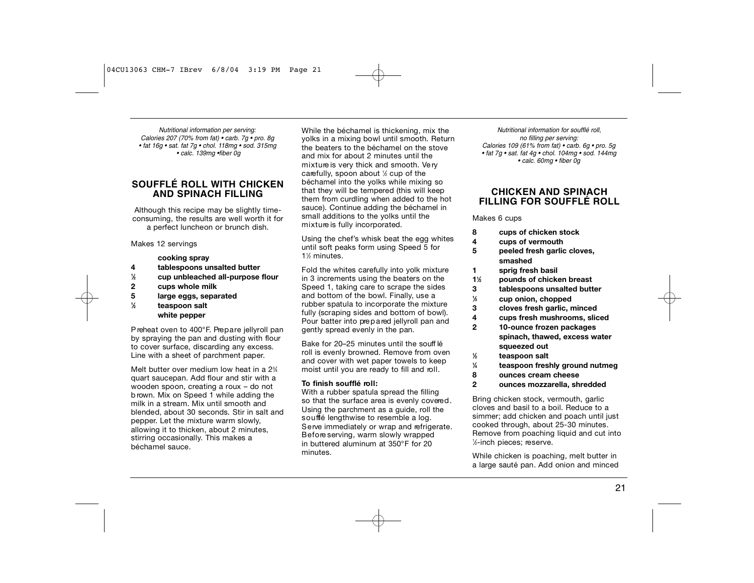*Nutritional information per serving: Calories 207 (70% from fat) • carb. 7g • pro. 8g • fat 16g • sat. fat 7g • chol. 118mg • sod. 315mg • calc. 139mg •fiber 0g*

### **SOUFFLÉ ROLL WITH CHICKEN AND SPINACH FILLING**

Although this recipe may be slightly timeconsuming, the results are well worth it for a perfect luncheon or brunch dish.

#### Makes 12 servings

- **cooking spray 4 tablespoons unsalted butter**
- **1 ⁄2 cup unbleached all-purpose flour**
- **2 cups whole milk**
- **5 large eggs, separated**
- 

#### **1 ⁄2 teaspoon salt white pepper**

P reheat oven to 400°F. Prepare jellyroll pan by spraying the pan and dusting with flour to cover surface, discarding any excess. Line with a sheet of parchment paper.

Melt butter over medium low heat in a 2<sup>3</sup>/4 quart saucepan. Add flour and stir with a wooden spoon, creating a roux – do not b rown. Mix on Speed 1 while adding the milk in a stream. Mix until smooth and blended, about 30 seconds. Stir in salt and pepper. Let the mixture warm slowly, allowing it to thicken, about 2 minutes, stirring occasionally. This makes a béchamel sauce.

While the béchamel is thickening, mix the yolks in a mixing bowl until smooth. Return the beaters to the béchamel on the stove and mix for about 2 minutes until the mixture is very thick and smooth. Very carefully, spoon about  $\not\!\!\!{\times}$  cup of the béchamel into the yolks while mixing so that they will be tempered (this will keep them from curdling when added to the hot sauce). Continue adding the béchamel in small additions to the yolks until the mixture is fully incorporated.

Using the chef's whisk beat the egg whites until soft peaks form using Speed 5 for 1<sup>/2</sup> minutes.

Fold the whites carefully into yolk mixture in 3 increments using the beaters on the Speed 1, taking care to scrape the sides and bottom of the bowl. Finally, use a rubber spatula to incorporate the mixture fully (scraping sides and bottom of bowl). Pour batter into prepared jellyroll pan and gently spread evenly in the pan.

Bake for 20–25 minutes until the souff lé roll is evenly browned. Remove from oven and cover with wet paper towels to keep moist until you are ready to fill and roll.

#### **To finish soufflé roll:**

With a rubber spatula spread the filling so that the surface area is evenly covered. Using the parchment as a guide, roll the soufflé lengthwise to resemble a log. Serve immediately or wrap and refrigerate. Before serving, warm slowly wrapped in buttered aluminum at 350°F for 20 minutes.

*Nutritional information for soufflé roll, no filling per serving: Calories 109 (61% from fat) • carb. 6g • pro. 5g • fat 7g • sat. fat 4g • chol. 104mg • sod. 144mg • calc. 60mg • fiber 0g*

#### **CHICKEN AND SPINACH FILLING FOR SOUFFLÉ R O L L**

#### Makes 6 cups

- **8 cups of chicken stock**
- **4 cups of vermouth**
- **5 peeled fresh garlic cloves, smashed**
- **1 sprig fresh basil**
- **11 ⁄2 pounds of chicken breast**
- **3 tablespoons unsalted butter**
- **1 ⁄3 cup onion, chopped**
- **3 cloves fresh garlic, minced**
- **4 cups fresh mushrooms, sliced**
- **2 10-ounce frozen packages** 
	- **spinach, thawed, excess water squeezed out**
	- **⁄2 teaspoon salt**

**1**

- **1 ⁄4 teaspoon freshly ground nutmeg**
- **8 ounces cream cheese**
- **2 ounces mozzarella, shredded**

Bring chicken stock, vermouth, garlic cloves and basil to a boil. Reduce to a simmer; add chicken and poach until just cooked through, about 25-30 minutes. Remove from poaching liquid and cut into 1⁄2-inch pieces; reserve.

While chicken is poaching, melt butter in a large sauté pan. Add onion and minced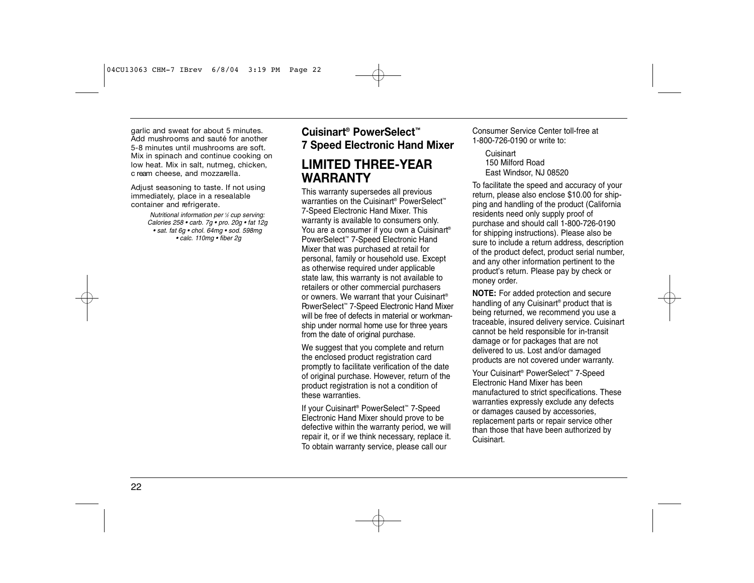garlic and sweat for about 5 minutes. Add mushrooms and sauté for another 5-8 minutes until mushrooms are soft. Mix in spinach and continue cooking on low heat. Mix in salt, nutmeg, chicken, c ream cheese, and mozzarella.

Adjust seasoning to taste. If not using immediately, place in a resealable container and refrigerate.

> *Nutritional information per 1 ⁄2 cup serving: Calories 258 • carb. 7g • pro. 20g • fat 12g • sat. fat 6g • chol. 64mg • sod. 598mg • calc. 110mg • fiber 2g*

## **Cuisinart ® PowerSelect™ 7 Speed Electronic Hand Mixer**

## **LIMITED THREE-YEAR WARRANTY**

This warranty supersedes all previous warranties on the Cuisinart<sup>®</sup> PowerSelect<sup>™</sup> 7-Speed Electronic Hand Mixer. This warranty is available to consumers only. You are a consumer if you own a Cuisinart<sup>®</sup> PowerSelect™ 7-Speed Electronic Hand Mixer that was purchased at retail for personal, family or household use. Except as otherwise required under applicable state law, this warranty is not available to retailers or other commercial purchasers or owners. We warrant that your Cuisinart® PowerSelect™ 7-Speed Electronic Hand Mixer will be free of defects in material or workmanship under normal home use for three years from the date of original purchase.

We suggest that you complete and return the enclosed product registration card promptly to facilitate verification of the date of original purchase. However, return of the product registration is not a condition of these warranties.

If your Cuisinart® PowerSelect™ 7-Speed Electronic Hand Mixer should prove to be defective within the warranty period, we will repair it, or if we think necessary, replace it. To obtain warranty service, please call our

Consumer Service Center toll-free at 1-800-726-0190 or write to:

**Cuisinart** 150 Milford Road East Windsor, NJ 08520

To facilitate the speed and accuracy of your return, please also enclose \$10.00 for shipping and handling of the product (California residents need only supply proof of purchase and should call 1-800-726-0190 for shipping instructions). Please also be sure to include a return address, description of the product defect, product serial number, and any other information pertinent to the product's return. Please pay by check or money order.

**NOTE:** For added protection and secure handling of any Cuisinart® product that is being returned, we recommend you use a traceable, insured delivery service. Cuisinart cannot be held responsible for in-transit damage or for packages that are not delivered to us. Lost and/or damaged products are not covered under warranty.

Your Cuisinart® PowerSelect™ 7-Speed Electronic Hand Mixer has been manufactured to strict specifications. These warranties expressly exclude any defects or damages caused by accessories, replacement parts or repair service other than those that have been authorized by Cuisinart.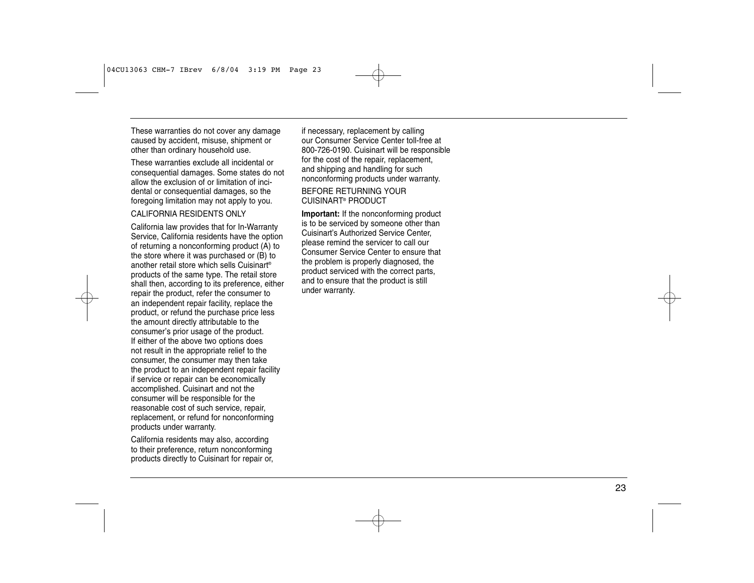These warranties do not cover any damage caused by accident, misuse, shipment or other than ordinary household use.

These warranties exclude all incidental or consequential damages. Some states do not allow the exclusion of or limitation of inci dental or consequential damages, so the foregoing limitation may not apply to you.

#### CALIFORNIA RESIDENTS ONLY

California law provides that for In-Warranty Service, California residents have the option of returning a nonconforming product (A) to the store where it was purchased or (B) to another retail store which sells Cuisinart ® products of the same type. The retail store shall then, according to its preference, either repair the product, refer the consumer to an independent repair facility, replace the product, or refund the purchase price less the amount directly attributable to the consumer 's prior usage of the product. If either of the above two options does not result in the appropriate relief to the consumer, the consumer may then take the product to an independent repair facility if service or repair can be economically accomplished. Cuisinart and not the consumer will be responsible for the reasonable cost of such service, repair , replacement, or refund for nonconforming products under warranty .

California residents may also, according to their preference, return nonconforming products directly to Cuisinart for repair or ,

if necessary, replacement by calling our Consumer Service Center toll-free at 800-726-0190. Cuisinart will be responsible for the cost of the repair, replacement, and shipping and handling for such nonconforming products under warranty .

BEFORE RETURNING YOUR CUISINAR T® PRODUCT

**Important:** If the nonconforming product is to be serviced by someone other than Cuisinart' s Authorized Service Center , please remind the servicer to call our Consumer Service Center to ensure that the problem is properly diagnosed, the product serviced with the correct parts, and to ensure that the product is still under warranty .